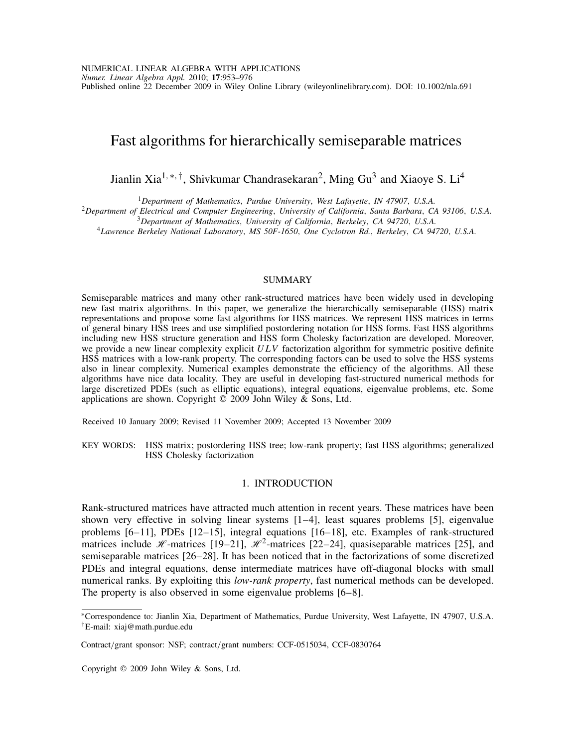# Fast algorithms for hierarchically semiseparable matrices

Jianlin Xia1*,*∗*,†*, Shivkumar Chandrasekaran2, Ming Gu3 and Xiaoye S. Li4

<sup>1</sup>Department of Mathematics, Purdue University, West Lafayette, IN 47907, U.S.A.<br><sup>2</sup>Department of Electrical and Computer Engineering, University of California, Santa Barbara, CA 93106, U.S.A.<br><sup>3</sup>Department of Mathematic

# **SUMMARY**

Semiseparable matrices and many other rank-structured matrices have been widely used in developing new fast matrix algorithms. In this paper, we generalize the hierarchically semiseparable (HSS) matrix representations and propose some fast algorithms for HSS matrices. We represent HSS matrices in terms of general binary HSS trees and use simplified postordering notation for HSS forms. Fast HSS algorithms including new HSS structure generation and HSS form Cholesky factorization are developed. Moreover, we provide a new linear complexity explicit *ULV* factorization algorithm for symmetric positive definite HSS matrices with a low-rank property. The corresponding factors can be used to solve the HSS systems also in linear complexity. Numerical examples demonstrate the efficiency of the algorithms. All these algorithms have nice data locality. They are useful in developing fast-structured numerical methods for large discretized PDEs (such as elliptic equations), integral equations, eigenvalue problems, etc. Some applications are shown. Copyright  $\overline{Q}$  2009 John Wiley & Sons, Ltd.

Received 10 January 2009; Revised 11 November 2009; Accepted 13 November 2009

KEY WORDS: HSS matrix; postordering HSS tree; low-rank property; fast HSS algorithms; generalized HSS Cholesky factorization

# 1. INTRODUCTION

Rank-structured matrices have attracted much attention in recent years. These matrices have been shown very effective in solving linear systems [1–4], least squares problems [5], eigenvalue problems [6–11], PDEs [12–15], integral equations [16–18], etc. Examples of rank-structured matrices include *H*-matrices [19–21],  $\mathcal{H}^2$ -matrices [22–24], quasiseparable matrices [25], and semiseparable matrices [26–28]. It has been noticed that in the factorizations of some discretized PDEs and integral equations, dense intermediate matrices have off-diagonal blocks with small numerical ranks. By exploiting this *low-rank property*, fast numerical methods can be developed. The property is also observed in some eigenvalue problems [6–8].

Copyright  $©$  2009 John Wiley & Sons, Ltd.

<sup>∗</sup>Correspondence to: Jianlin Xia, Department of Mathematics, Purdue University, West Lafayette, IN 47907, U.S.A. *†*E-mail: xiaj@math.purdue.edu

Contract*/*grant sponsor: NSF; contract*/*grant numbers: CCF-0515034, CCF-0830764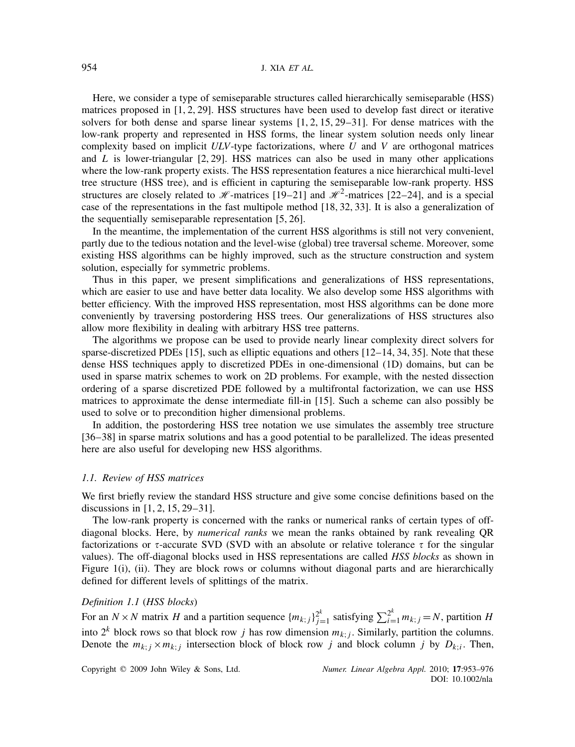Here, we consider a type of semiseparable structures called hierarchically semiseparable (HSS) matrices proposed in [1, 2, 29]. HSS structures have been used to develop fast direct or iterative solvers for both dense and sparse linear systems [1, 2, 15, 29–31]. For dense matrices with the low-rank property and represented in HSS forms, the linear system solution needs only linear complexity based on implicit *ULV*-type factorizations, where *U* and *V* are orthogonal matrices and *L* is lower-triangular [2, 29]. HSS matrices can also be used in many other applications where the low-rank property exists. The HSS representation features a nice hierarchical multi-level tree structure (HSS tree), and is efficient in capturing the semiseparable low-rank property. HSS structures are closely related to  $\mathcal{H}$ -matrices [19–21] and  $\mathcal{H}^2$ -matrices [22–24], and is a special case of the representations in the fast multipole method [18, 32, 33]. It is also a generalization of the sequentially semiseparable representation [5, 26].

In the meantime, the implementation of the current HSS algorithms is still not very convenient, partly due to the tedious notation and the level-wise (global) tree traversal scheme. Moreover, some existing HSS algorithms can be highly improved, such as the structure construction and system solution, especially for symmetric problems.

Thus in this paper, we present simplifications and generalizations of HSS representations, which are easier to use and have better data locality. We also develop some HSS algorithms with better efficiency. With the improved HSS representation, most HSS algorithms can be done more conveniently by traversing postordering HSS trees. Our generalizations of HSS structures also allow more flexibility in dealing with arbitrary HSS tree patterns.

The algorithms we propose can be used to provide nearly linear complexity direct solvers for sparse-discretized PDEs [15], such as elliptic equations and others [12–14, 34, 35]. Note that these dense HSS techniques apply to discretized PDEs in one-dimensional (1D) domains, but can be used in sparse matrix schemes to work on 2D problems. For example, with the nested dissection ordering of a sparse discretized PDE followed by a multifrontal factorization, we can use HSS matrices to approximate the dense intermediate fill-in [15]. Such a scheme can also possibly be used to solve or to precondition higher dimensional problems.

In addition, the postordering HSS tree notation we use simulates the assembly tree structure [36–38] in sparse matrix solutions and has a good potential to be parallelized. The ideas presented here are also useful for developing new HSS algorithms.

#### *1.1. Review of HSS matrices*

We first briefly review the standard HSS structure and give some concise definitions based on the discussions in [1, 2, 15, 29–31].

The low-rank property is concerned with the ranks or numerical ranks of certain types of offdiagonal blocks. Here, by *numerical ranks* we mean the ranks obtained by rank revealing QR factorizations or  $\tau$ -accurate SVD (SVD with an absolute or relative tolerance  $\tau$  for the singular values). The off-diagonal blocks used in HSS representations are called *HSS blocks* as shown in Figure 1(i), (ii). They are block rows or columns without diagonal parts and are hierarchically defined for different levels of splittings of the matrix.

### *Definition 1.1* (*HSS blocks*)

For an  $N \times N$  matrix *H* and a partition sequence  ${m_{k;j}}^2_{j=1}^k$  satisfying  $\sum_{i=1}^{2^k} m_{k;j} = N$ , partition *H* into  $2^k$  block rows so that block row *j* has row dimension  $m_{k,j}$ . Similarly, partition the columns. Denote the  $m_{k;j} \times m_{k;j}$  intersection block of block row *j* and block column *j* by  $D_{k;i}$ . Then,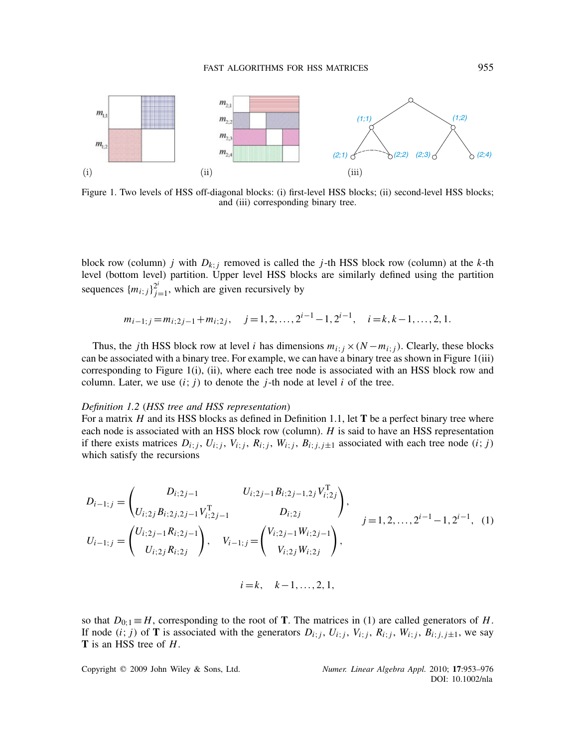

Figure 1. Two levels of HSS off-diagonal blocks: (i) first-level HSS blocks; (ii) second-level HSS blocks; and (iii) corresponding binary tree.

block row (column) *j* with  $D_{k:j}$  removed is called the *j*-th HSS block row (column) at the *k*-th level (bottom level) partition. Upper level HSS blocks are similarly defined using the partition sequences  ${m_{i;j}}\}^{2^i}_{j=1}$ , which are given recursively by

$$
m_{i-1;j} = m_{i;2j-1} + m_{i;2j}, \quad j = 1, 2, ..., 2^{i-1} - 1, 2^{i-1}, \quad i = k, k-1, ..., 2, 1.
$$

Thus, the *j*th HSS block row at level *i* has dimensions  $m_i$ ;  $\frac{\partial (N - m_i)}{\partial x}$ . Clearly, these blocks can be associated with a binary tree. For example, we can have a binary tree as shown in Figure 1(iii) corresponding to Figure 1(i), (ii), where each tree node is associated with an HSS block row and column. Later, we use  $(i; j)$  to denote the *j*-th node at level *i* of the tree.

### *Definition 1.2* (*HSS tree and HSS representation*)

For a matrix *H* and its HSS blocks as defined in Definition 1.1, let **T** be a perfect binary tree where each node is associated with an HSS block row (column). *H* is said to have an HSS representation if there exists matrices  $D_{i;j}$ ,  $U_{i;j}$ ,  $V_{i;j}$ ,  $R_{i;j}$ ,  $W_{i;j}$ ,  $B_{i;j,j\pm 1}$  associated with each tree node  $(i;j)$ which satisfy the recursions

$$
D_{i-1;j} = \begin{pmatrix} D_{i;2j-1} & U_{i;2j-1}B_{i;2j-1,2j}V_{i;2j}^{\mathrm{T}} \\ U_{i;2j}B_{i;2j,2j-1}V_{i;2j-1}^{\mathrm{T}} & D_{i;2j} \\ U_{i-1;j} = \begin{pmatrix} U_{i;2j-1}R_{i;2j-1} \\ U_{i;2j}R_{i;2j} \end{pmatrix}, & j=1,2,\ldots,2^{i-1}-1,2^{i-1}, (1) \end{pmatrix}
$$

$$
i = k, \quad k-1, \ldots, 2, 1,
$$

so that  $D_{0,1} \equiv H$ , corresponding to the root of **T**. The matrices in (1) are called generators of *H*. If node  $(i; j)$  of **T** is associated with the generators  $D_{i; j}$ ,  $U_{i; j}$ ,  $V_{i; j}$ ,  $R_{i; j}$ ,  $W_{i; j}$ ,  $B_{i; j, j \pm 1}$ , we say **T** is an HSS tree of *H*.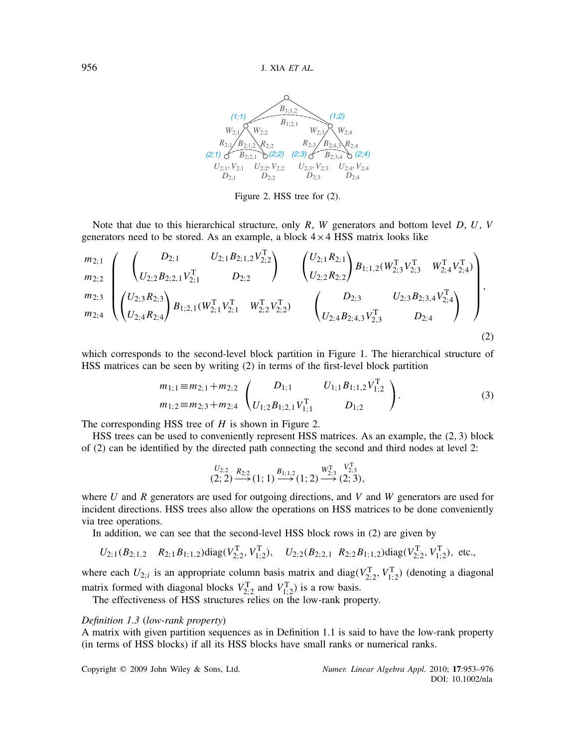

Figure 2. HSS tree for (2).

Note that due to this hierarchical structure, only *R*, *W* generators and bottom level *D*, *U*, *V* generators need to be stored. As an example, a block  $4 \times 4$  HSS matrix looks like

$$
\begin{pmatrix}\nm_{2;1} \\
m_{2;2} \\
m_{2;3}\n\end{pmatrix}\n\begin{pmatrix}\nD_{2;1} & U_{2;1}B_{2;1,2}V_{2;2}^T \\
U_{2;2}B_{2;2,1}V_{2;1}^T & D_{2;2}\n\end{pmatrix}\n\begin{pmatrix}\nU_{2;1}R_{2;1} \\
U_{2;2}R_{2;2}\n\end{pmatrix}\nB_{1;1,2}(W_{2;3}^TV_{2;3}^T & W_{2;4}^TV_{2;4}^T) \\
m_{2;3}\n\begin{pmatrix}\nU_{2;3}R_{2;3} \\
U_{2;3}R_{2;3}\n\end{pmatrix}\nB_{1;2,1}(W_{2;1}^TV_{2;1}^T & W_{2;2}^TV_{2;2}^T) & \begin{pmatrix}\nD_{2;3} & U_{2;3}B_{2;3,4}V_{2;4}^T \\
U_{2;4}B_{2;4,3}V_{2,3}^T & D_{2;4}\n\end{pmatrix},
$$
\n(2)

which corresponds to the second-level block partition in Figure 1. The hierarchical structure of HSS matrices can be seen by writing (2) in terms of the first-level block partition

$$
m_{1;1} \equiv m_{2;1} + m_{2;2} \quad \begin{pmatrix} D_{1;1} & U_{1;1}B_{1;1,2}V_{1;2}^{\mathrm{T}} \\ U_{1;2}B_{1;2,1}V_{1;1}^{\mathrm{T}} & D_{1;2} \end{pmatrix}.
$$
 (3)

The corresponding HSS tree of *H* is shown in Figure 2.

HSS trees can be used to conveniently represent HSS matrices. As an example, the *(*2*,*3*)* block of (2) can be identified by the directed path connecting the second and third nodes at level 2:

$$
\overset{U_{2;2}}{(2;2)} \overset{R_{2;2}}{\longrightarrow} (1;1) \overset{B_{1;1,2}}{\longrightarrow} (1;2) \overset{W^{\text{T}}_{2;3}}{\longrightarrow} (2;3),
$$

where *U* and *R* generators are used for outgoing directions, and *V* and *W* generators are used for incident directions. HSS trees also allow the operations on HSS matrices to be done conveniently via tree operations.

In addition, we can see that the second-level HSS block rows in (2) are given by

$$
U_{2;1}(B_{2;1,2} \ R_{2;1}B_{1;1,2})diag(V_{2;2}^T, V_{1;2}^T), \ U_{2;2}(B_{2;2,1} \ R_{2;2}B_{1;1,2})diag(V_{2;2}^T, V_{1;2}^T), \text{ etc.,}
$$

where each  $U_{2,i}$  is an appropriate column basis matrix and diag( $V_{2,2}^T$ ,  $V_{1,2}^T$ ) (denoting a diagonal matrix formed with diagonal blocks  $V_{2;2}^T$  and  $V_{1;2}^T$ ) is a row basis.

The effectiveness of HSS structures relies on the low-rank property.

# *Definition 1.3* (*low-rank property*)

A matrix with given partition sequences as in Definition 1.1 is said to have the low-rank property (in terms of HSS blocks) if all its HSS blocks have small ranks or numerical ranks.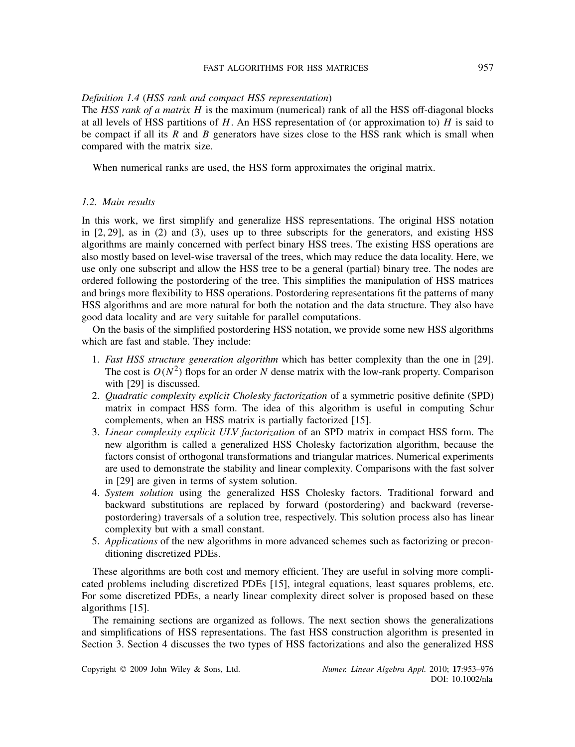### FAST ALGORITHMS FOR HSS MATRICES 957

# *Definition 1.4* (*HSS rank and compact HSS representation*)

The *HSS rank of a matrix H* is the maximum (numerical) rank of all the HSS off-diagonal blocks at all levels of HSS partitions of *H*. An HSS representation of (or approximation to) *H* is said to be compact if all its *R* and *B* generators have sizes close to the HSS rank which is small when compared with the matrix size.

When numerical ranks are used, the HSS form approximates the original matrix.

### *1.2. Main results*

In this work, we first simplify and generalize HSS representations. The original HSS notation in [2, 29], as in (2) and (3), uses up to three subscripts for the generators, and existing HSS algorithms are mainly concerned with perfect binary HSS trees. The existing HSS operations are also mostly based on level-wise traversal of the trees, which may reduce the data locality. Here, we use only one subscript and allow the HSS tree to be a general (partial) binary tree. The nodes are ordered following the postordering of the tree. This simplifies the manipulation of HSS matrices and brings more flexibility to HSS operations. Postordering representations fit the patterns of many HSS algorithms and are more natural for both the notation and the data structure. They also have good data locality and are very suitable for parallel computations.

On the basis of the simplified postordering HSS notation, we provide some new HSS algorithms which are fast and stable. They include:

- 1. *Fast HSS structure generation algorithm* which has better complexity than the one in [29]. The cost is  $O(N^2)$  flops for an order N dense matrix with the low-rank property. Comparison with [29] is discussed.
- 2. *Quadratic complexity explicit Cholesky factorization* of a symmetric positive definite (SPD) matrix in compact HSS form. The idea of this algorithm is useful in computing Schur complements, when an HSS matrix is partially factorized [15].
- 3. *Linear complexity explicit ULV factorization* of an SPD matrix in compact HSS form. The new algorithm is called a generalized HSS Cholesky factorization algorithm, because the factors consist of orthogonal transformations and triangular matrices. Numerical experiments are used to demonstrate the stability and linear complexity. Comparisons with the fast solver in [29] are given in terms of system solution.
- 4. *System solution* using the generalized HSS Cholesky factors. Traditional forward and backward substitutions are replaced by forward (postordering) and backward (reversepostordering) traversals of a solution tree, respectively. This solution process also has linear complexity but with a small constant.
- 5. *Applications* of the new algorithms in more advanced schemes such as factorizing or preconditioning discretized PDEs.

These algorithms are both cost and memory efficient. They are useful in solving more complicated problems including discretized PDEs [15], integral equations, least squares problems, etc. For some discretized PDEs, a nearly linear complexity direct solver is proposed based on these algorithms [15].

The remaining sections are organized as follows. The next section shows the generalizations and simplifications of HSS representations. The fast HSS construction algorithm is presented in Section 3. Section 4 discusses the two types of HSS factorizations and also the generalized HSS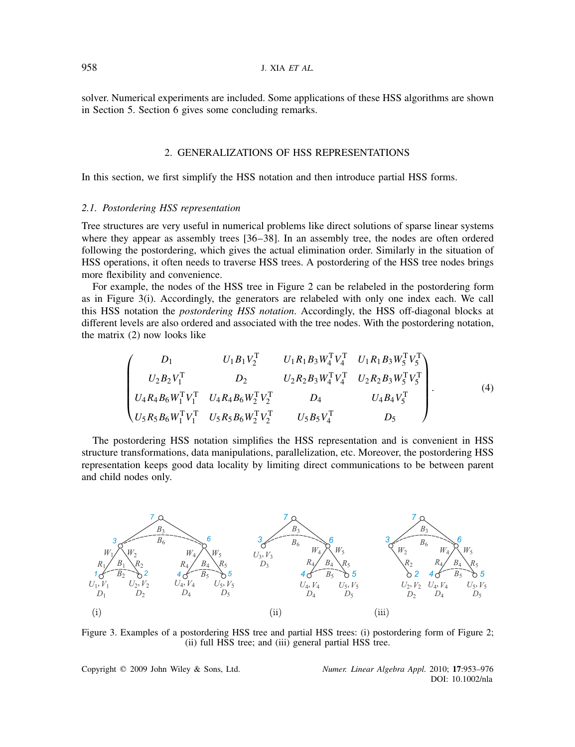solver. Numerical experiments are included. Some applications of these HSS algorithms are shown in Section 5. Section 6 gives some concluding remarks.

# 2. GENERALIZATIONS OF HSS REPRESENTATIONS

In this section, we first simplify the HSS notation and then introduce partial HSS forms.

# *2.1. Postordering HSS representation*

Tree structures are very useful in numerical problems like direct solutions of sparse linear systems where they appear as assembly trees [36–38]. In an assembly tree, the nodes are often ordered following the postordering, which gives the actual elimination order. Similarly in the situation of HSS operations, it often needs to traverse HSS trees. A postordering of the HSS tree nodes brings more flexibility and convenience.

For example, the nodes of the HSS tree in Figure 2 can be relabeled in the postordering form as in Figure 3(i). Accordingly, the generators are relabeled with only one index each. We call this HSS notation the *postordering HSS notation*. Accordingly, the HSS off-diagonal blocks at different levels are also ordered and associated with the tree nodes. With the postordering notation, the matrix (2) now looks like

$$
\begin{pmatrix}\nD_1 & U_1 B_1 V_2^{\mathrm{T}} & U_1 R_1 B_3 W_4^{\mathrm{T}} V_4^{\mathrm{T}} & U_1 R_1 B_3 W_5^{\mathrm{T}} V_5^{\mathrm{T}} \\
U_2 B_2 V_1^{\mathrm{T}} & D_2 & U_2 R_2 B_3 W_4^{\mathrm{T}} V_4^{\mathrm{T}} & U_2 R_2 B_3 W_5^{\mathrm{T}} V_5^{\mathrm{T}} \\
U_4 R_4 B_6 W_1^{\mathrm{T}} V_1^{\mathrm{T}} & U_4 R_4 B_6 W_2^{\mathrm{T}} V_2^{\mathrm{T}} & D_4 & U_4 B_4 V_5^{\mathrm{T}} \\
U_5 R_5 B_6 W_1^{\mathrm{T}} V_1^{\mathrm{T}} & U_5 R_5 B_6 W_2^{\mathrm{T}} V_2^{\mathrm{T}} & U_5 B_5 V_4^{\mathrm{T}} & D_5\n\end{pmatrix}.
$$
\n(4)

The postordering HSS notation simplifies the HSS representation and is convenient in HSS structure transformations, data manipulations, parallelization, etc. Moreover, the postordering HSS representation keeps good data locality by limiting direct communications to be between parent and child nodes only.



Figure 3. Examples of a postordering HSS tree and partial HSS trees: (i) postordering form of Figure 2; (ii) full HSS tree; and (iii) general partial HSS tree.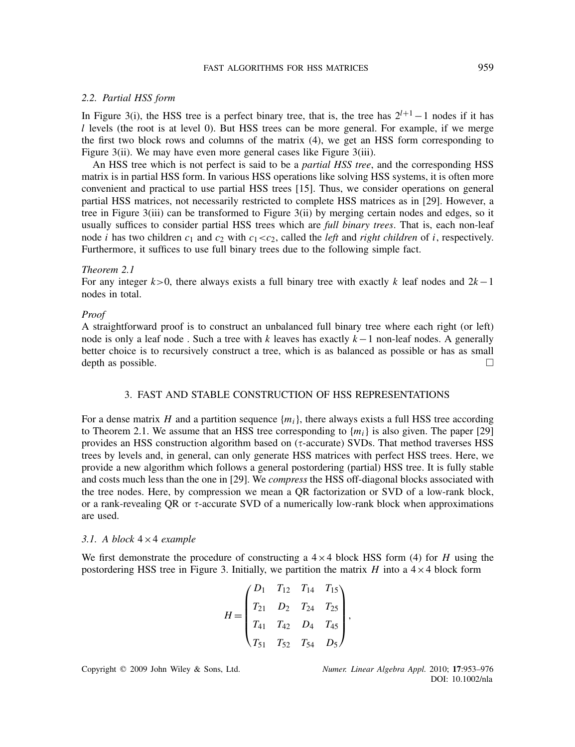### FAST ALGORITHMS FOR HSS MATRICES 959

### *2.2. Partial HSS form*

In Figure 3(i), the HSS tree is a perfect binary tree, that is, the tree has 2*l*+1−1 nodes if it has *l* levels (the root is at level 0). But HSS trees can be more general. For example, if we merge the first two block rows and columns of the matrix (4), we get an HSS form corresponding to Figure 3(ii). We may have even more general cases like Figure 3(iii).

An HSS tree which is not perfect is said to be a *partial HSS tree*, and the corresponding HSS matrix is in partial HSS form. In various HSS operations like solving HSS systems, it is often more convenient and practical to use partial HSS trees [15]. Thus, we consider operations on general partial HSS matrices, not necessarily restricted to complete HSS matrices as in [29]. However, a tree in Figure 3(iii) can be transformed to Figure 3(ii) by merging certain nodes and edges, so it usually suffices to consider partial HSS trees which are *full binary trees*. That is, each non-leaf node *i* has two children  $c_1$  and  $c_2$  with  $c_1 < c_2$ , called the *left* and *right children* of *i*, respectively. Furthermore, it suffices to use full binary trees due to the following simple fact.

# *Theorem 2.1*

For any integer *k>*0, there always exists a full binary tree with exactly *k* leaf nodes and 2*k*−1 nodes in total.

### *Proof*

A straightforward proof is to construct an unbalanced full binary tree where each right (or left) node is only a leaf node . Such a tree with *k* leaves has exactly *k*−1 non-leaf nodes. A generally better choice is to recursively construct a tree, which is as balanced as possible or has as small depth as possible.  $\Box$ 

# 3. FAST AND STABLE CONSTRUCTION OF HSS REPRESENTATIONS

For a dense matrix *H* and a partition sequence  $\{m_i\}$ , there always exists a full HSS tree according to Theorem 2.1. We assume that an HSS tree corresponding to  ${m_i}$  is also given. The paper [29] provides an HSS construction algorithm based on  $(\tau\text{-accurate})$  SVDs. That method traverses HSS trees by levels and, in general, can only generate HSS matrices with perfect HSS trees. Here, we provide a new algorithm which follows a general postordering (partial) HSS tree. It is fully stable and costs much less than the one in [29]. We *compress* the HSS off-diagonal blocks associated with the tree nodes. Here, by compression we mean a QR factorization or SVD of a low-rank block, or a rank-revealing QR or  $\tau$ -accurate SVD of a numerically low-rank block when approximations are used.

### *3.1. A block* 4×4 *example*

We first demonstrate the procedure of constructing a  $4 \times 4$  block HSS form (4) for *H* using the postordering HSS tree in Figure 3. Initially, we partition the matrix *H* into a  $4 \times 4$  block form

$$
H = \begin{pmatrix} D_1 & T_{12} & T_{14} & T_{15} \\ T_{21} & D_2 & T_{24} & T_{25} \\ T_{41} & T_{42} & D_4 & T_{45} \\ T_{51} & T_{52} & T_{54} & D_5 \end{pmatrix},
$$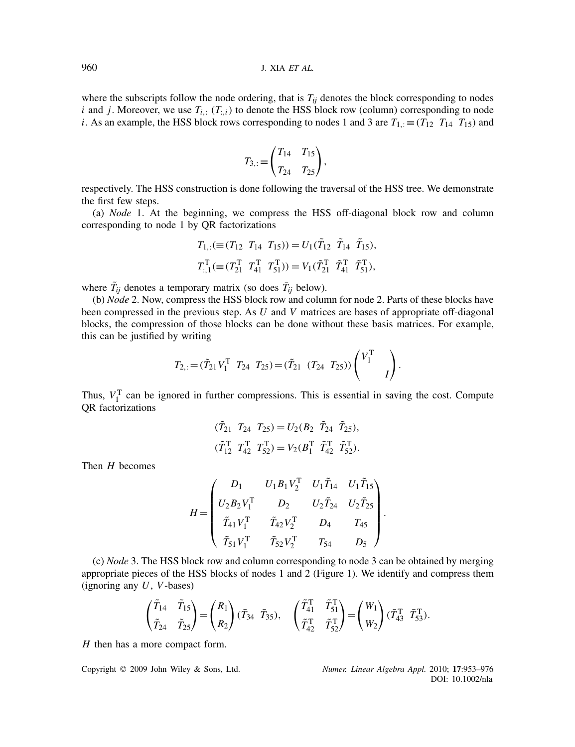where the subscripts follow the node ordering, that is  $T_{ii}$  denotes the block corresponding to nodes *i* and *j*. Moreover, we use  $T_{i,:}$   $(T_{i,i})$  to denote the HSS block row (column) corresponding to node *i*. As an example, the HSS block rows corresponding to nodes 1 and 3 are  $T_{1,:} \equiv (T_{12} \ T_{14} \ T_{15})$  and

$$
T_{3,:} \equiv \begin{pmatrix} T_{14} & T_{15} \\ T_{24} & T_{25} \end{pmatrix},
$$

respectively. The HSS construction is done following the traversal of the HSS tree. We demonstrate the first few steps.

(a) *Node* 1. At the beginning, we compress the HSS off-diagonal block row and column corresponding to node 1 by QR factorizations

$$
T_{1,:} (\equiv (T_{12} \ T_{14} \ T_{15})) = U_1(\tilde{T}_{12} \ \tilde{T}_{14} \ \tilde{T}_{15}),
$$
  

$$
T_{:,1}^{\mathrm{T}} (\equiv (T_{21}^{\mathrm{T}} \ T_{41}^{\mathrm{T}} \ T_{51}^{\mathrm{T}})) = V_1(\tilde{T}_{21}^{\mathrm{T}} \ \tilde{T}_{41}^{\mathrm{T}} \ \tilde{T}_{51}^{\mathrm{T}}),
$$

where  $\tilde{T}_{ij}$  denotes a temporary matrix (so does  $\bar{T}_{ij}$  below).

(b) *Node* 2. Now, compress the HSS block row and column for node 2. Parts of these blocks have been compressed in the previous step. As *U* and *V* matrices are bases of appropriate off-diagonal blocks, the compression of those blocks can be done without these basis matrices. For example, this can be justified by writing

$$
T_{2,:} = (\tilde{T}_{21} V_1^{\mathrm{T}} \t T_{24} T_{25}) = (\tilde{T}_{21} (T_{24} T_{25})) \begin{pmatrix} V_1^{\mathrm{T}} \\ I \end{pmatrix}.
$$

Thus,  $V_1^T$  can be ignored in further compressions. This is essential in saving the cost. Compute QR factorizations

$$
(\tilde{T}_{21} \ T_{24} \ T_{25}) = U_2 (B_2 \ \tilde{T}_{24} \ \tilde{T}_{25}),
$$
  
\n $(\tilde{T}_{12}^T \ T_{42}^T \ T_{52}^T) = V_2 (B_1^T \ \tilde{T}_{42}^T \ \tilde{T}_{52}^T).$ 

Then *H* becomes

$$
H = \begin{pmatrix} D_1 & U_1 B_1 V_2^{\mathrm{T}} & U_1 \tilde{T}_{14} & U_1 \tilde{T}_{15} \\ U_2 B_2 V_1^{\mathrm{T}} & D_2 & U_2 \tilde{T}_{24} & U_2 \tilde{T}_{25} \\ \tilde{T}_{41} V_1^{\mathrm{T}} & \tilde{T}_{42} V_2^{\mathrm{T}} & D_4 & T_{45} \\ \tilde{T}_{51} V_1^{\mathrm{T}} & \tilde{T}_{52} V_2^{\mathrm{T}} & T_{54} & D_5 \end{pmatrix}.
$$

(c) *Node* 3. The HSS block row and column corresponding to node 3 can be obtained by merging appropriate pieces of the HSS blocks of nodes 1 and 2 (Figure 1). We identify and compress them (ignoring any *U*, *V*-bases)

$$
\begin{pmatrix} \tilde{T}_{14} & \tilde{T}_{15} \\ \tilde{T}_{24} & \tilde{T}_{25} \end{pmatrix} = \begin{pmatrix} R_1 \\ R_2 \end{pmatrix} (\bar{T}_{34} \bar{T}_{35}), \quad \begin{pmatrix} \tilde{T}_{41}^T & \tilde{T}_{51}^T \\ \tilde{T}_{42}^T & \tilde{T}_{52}^T \end{pmatrix} = \begin{pmatrix} W_1 \\ W_2 \end{pmatrix} (\bar{T}_{43}^T \bar{T}_{53}^T).
$$

*H* then has a more compact form.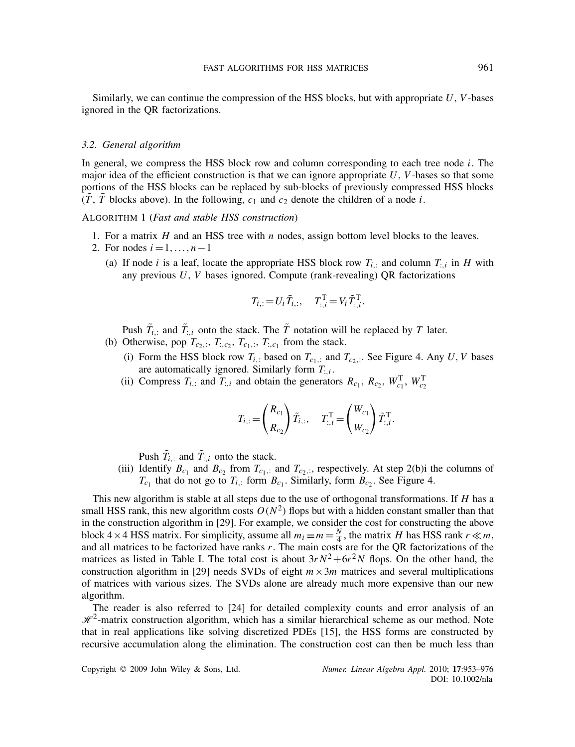Similarly, we can continue the compression of the HSS blocks, but with appropriate *U*, *V*-bases ignored in the QR factorizations.

### *3.2. General algorithm*

In general, we compress the HSS block row and column corresponding to each tree node *i*. The major idea of the efficient construction is that we can ignore appropriate *U*, *V*-bases so that some portions of the HSS blocks can be replaced by sub-blocks of previously compressed HSS blocks  $(T, T)$  blocks above). In the following,  $c_1$  and  $c_2$  denote the children of a node *i*.

ALGORITHM 1 (*Fast and stable HSS construction*)

- 1. For a matrix *H* and an HSS tree with *n* nodes, assign bottom level blocks to the leaves.
- 2. For nodes  $i = 1, ..., n-1$ 
	- (a) If node *i* is a leaf, locate the appropriate HSS block row  $T_{i,:}$  and column  $T_{:,i}$  in *H* with any previous *U*, *V* bases ignored. Compute (rank-revealing) QR factorizations

$$
T_{i,:} = U_i \, \tilde{T}_{i,:}, \quad T_{:,i}^{\mathrm{T}} = V_i \, \tilde{T}_{:,i}^{\mathrm{T}}.
$$

Push  $\tilde{T}_{i,:}$  and  $\tilde{T}_{:,i}$  onto the stack. The  $\tilde{T}$  notation will be replaced by *T* later.

- (b) Otherwise, pop  $T_{c_2,:}, T_{c_2,:}, T_{c_1,:}, T_{c_1,:}$  from the stack.
	- (i) Form the HSS block row  $T_{i,:}$  based on  $T_{c_1,:}$  and  $T_{c_2,:}$ . See Figure 4. Any *U*, *V* bases are automatically ignored. Similarly form  $T_{\cdot,i}$ .
	- (ii) Compress  $T_{i,:}$  and  $T_{:,i}$  and obtain the generators  $R_{c_1}, R_{c_2}, W_{c_1}^T, W_{c_2}^T$

$$
T_{i,:} = \begin{pmatrix} R_{c_1} \\ R_{c_2} \end{pmatrix} \tilde{T}_{i,:}, \quad T_{:,i}^{\mathrm{T}} = \begin{pmatrix} W_{c_1} \\ W_{c_2} \end{pmatrix} \tilde{T}_{:,i}^{\mathrm{T}}.
$$

Push  $\tilde{T}_{i,:}$  and  $\tilde{T}_{:,i}$  onto the stack.

(iii) Identify  $B_{c_1}$  and  $B_{c_2}$  from  $T_{c_1,1}$  and  $T_{c_2,1}$ , respectively. At step 2(b)i the columns of  $T_{c_1}$  that do not go to  $T_{i,:}$  form  $B_{c_1}$ . Similarly, form  $B_{c_2}$ . See Figure 4.

This new algorithm is stable at all steps due to the use of orthogonal transformations. If *H* has a small HSS rank, this new algorithm costs  $O(N^2)$  flops but with a hidden constant smaller than that in the construction algorithm in [29]. For example, we consider the cost for constructing the above block 4 × 4 HSS matrix. For simplicity, assume all  $m_i \equiv m = \frac{N}{4}$ , the matrix *H* has HSS rank  $r \ll m$ , and all matrices to be factorized have ranks *r*. The main costs are for the QR factorizations of the matrices as listed in Table I. The total cost is about  $3rN^2+6r^2N$  flops. On the other hand, the construction algorithm in [29] needs SVDs of eight  $m \times 3m$  matrices and several multiplications of matrices with various sizes. The SVDs alone are already much more expensive than our new algorithm.

The reader is also referred to [24] for detailed complexity counts and error analysis of an  $\mathcal{H}^2$ -matrix construction algorithm, which has a similar hierarchical scheme as our method. Note that in real applications like solving discretized PDEs [15], the HSS forms are constructed by recursive accumulation along the elimination. The construction cost can then be much less than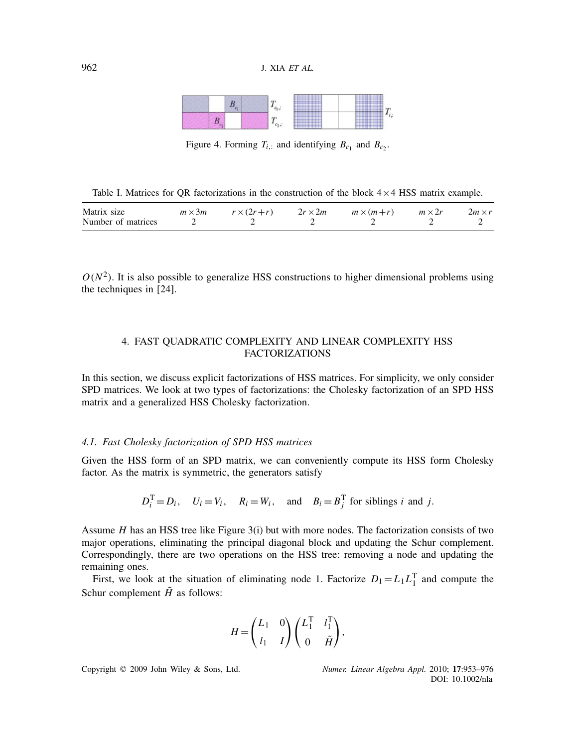| -- |  | <br><br><br><br>-----------------<br><br><br>.<br>111.111.12.00.00.00.00 | <br><br><br><br>                             |
|----|--|--------------------------------------------------------------------------|----------------------------------------------|
|    |  | <br><br>--------------<br>****************<br><br>                       | <br><br><br><br>,,,,,,,,,,,,,,,,,,,,<br><br> |

Figure 4. Forming  $T_{i,:}$  and identifying  $B_{c_1}$  and  $B_{c_2}$ .

Table I. Matrices for QR factorizations in the construction of the block  $4 \times 4$  HSS matrix example.

| Matrix size        | $m \times 3m$ $r \times (2r+r)$ | $2r \times 2m$ $m \times (m+r)$ $m \times 2r$ | $2m \times r$ |
|--------------------|---------------------------------|-----------------------------------------------|---------------|
| Number of matrices |                                 |                                               |               |

 $O(N^2)$ . It is also possible to generalize HSS constructions to higher dimensional problems using the techniques in [24].

# 4. FAST QUADRATIC COMPLEXITY AND LINEAR COMPLEXITY HSS FACTORIZATIONS

In this section, we discuss explicit factorizations of HSS matrices. For simplicity, we only consider SPD matrices. We look at two types of factorizations: the Cholesky factorization of an SPD HSS matrix and a generalized HSS Cholesky factorization.

# *4.1. Fast Cholesky factorization of SPD HSS matrices*

Given the HSS form of an SPD matrix, we can conveniently compute its HSS form Cholesky factor. As the matrix is symmetric, the generators satisfy

$$
D_i^T = D_i
$$
,  $U_i = V_i$ ,  $R_i = W_i$ , and  $B_i = B_j^T$  for siblings *i* and *j*.

Assume *H* has an HSS tree like Figure 3(i) but with more nodes. The factorization consists of two major operations, eliminating the principal diagonal block and updating the Schur complement. Correspondingly, there are two operations on the HSS tree: removing a node and updating the remaining ones.

First, we look at the situation of eliminating node 1. Factorize  $D_1 = L_1 L_1^T$  and compute the Schur complement  $\tilde{H}$  as follows:

$$
H = \begin{pmatrix} L_1 & 0 \\ l_1 & I \end{pmatrix} \begin{pmatrix} L_1^{\mathrm{T}} & l_1^{\mathrm{T}} \\ 0 & \tilde{H} \end{pmatrix},
$$

Copyright q 2009 John Wiley & Sons, Ltd. *Numer. Linear Algebra Appl.* 2010; **17**:953–976

DOI: 10.1002/nla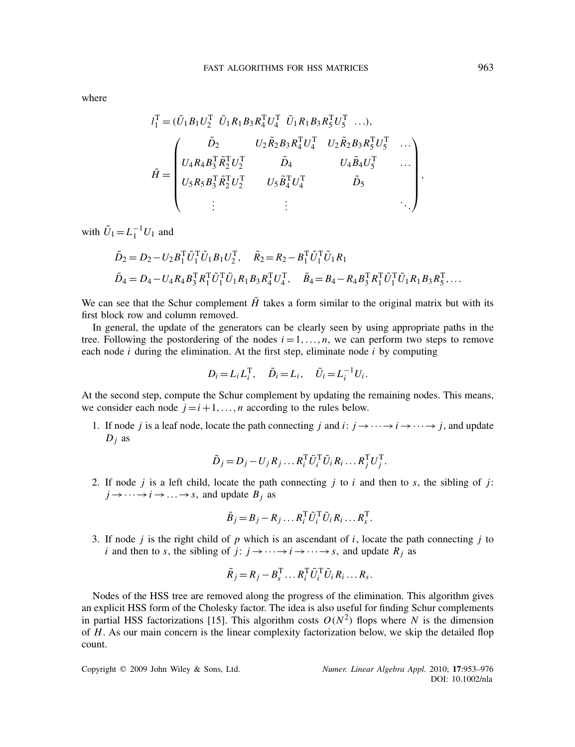where

$$
l_1^{\mathrm{T}} = (\tilde{U}_1 B_1 U_2^{\mathrm{T}} \tilde{U}_1 R_1 B_3 R_4^{\mathrm{T}} U_4^{\mathrm{T}} \tilde{U}_1 R_1 B_3 R_5^{\mathrm{T}} U_5^{\mathrm{T}} \dots),
$$
  
\n
$$
\tilde{H} = \begin{pmatrix}\n\tilde{D}_2 & U_2 \tilde{R}_2 B_3 R_4^{\mathrm{T}} U_4^{\mathrm{T}} & U_2 \tilde{R}_2 B_3 R_5^{\mathrm{T}} U_5^{\mathrm{T}} & \dots \\
U_4 R_4 B_3^{\mathrm{T}} \tilde{R}_2^{\mathrm{T}} U_2^{\mathrm{T}} & \tilde{D}_4 & U_4 \tilde{B}_4 U_5^{\mathrm{T}} & \dots \\
U_5 R_5 B_3^{\mathrm{T}} \tilde{R}_2^{\mathrm{T}} U_2^{\mathrm{T}} & U_5 \tilde{B}_4^{\mathrm{T}} U_4^{\mathrm{T}} & \tilde{D}_5 & \dots \\
\vdots & \vdots & \ddots & \ddots\n\end{pmatrix},
$$

with  $U_1 = L_1^{-1} U_1$  and

$$
\tilde{D}_2 = D_2 - U_2 B_1^{\mathrm{T}} \tilde{U}_1^{\mathrm{T}} \tilde{U}_1 B_1 U_2^{\mathrm{T}}, \quad \tilde{R}_2 = R_2 - B_1^{\mathrm{T}} \tilde{U}_1^{\mathrm{T}} \tilde{U}_1 R_1
$$
\n
$$
\tilde{D}_4 = D_4 - U_4 R_4 B_3^{\mathrm{T}} R_1^{\mathrm{T}} \tilde{U}_1^{\mathrm{T}} \tilde{U}_1 R_1 B_3 R_4^{\mathrm{T}} U_4^{\mathrm{T}}, \quad \tilde{B}_4 = B_4 - R_4 B_3^{\mathrm{T}} R_1^{\mathrm{T}} \tilde{U}_1^{\mathrm{T}} \tilde{U}_1 R_1 B_3 R_5^{\mathrm{T}}, \dots
$$

We can see that the Schur complement  $\tilde{H}$  takes a form similar to the original matrix but with its first block row and column removed.

In general, the update of the generators can be clearly seen by using appropriate paths in the tree. Following the postordering of the nodes  $i = 1, \ldots, n$ , we can perform two steps to remove each node *i* during the elimination. At the first step, eliminate node *i* by computing

$$
D_i = L_i L_i^{\mathrm{T}}, \quad \tilde{D}_i = L_i, \quad \tilde{U}_i = L_i^{-1} U_i.
$$

At the second step, compute the Schur complement by updating the remaining nodes. This means, we consider each node  $j = i + 1, \ldots, n$  according to the rules below.

1. If node *j* is a leaf node, locate the path connecting *j* and *i*:  $j \rightarrow \cdots \rightarrow j \rightarrow \cdots$  *j*, and update  $D_j$  as

$$
\tilde{D}_j = D_j - U_j R_j \dots R_i^{\rm T} \tilde{U}_i^{\rm T} \tilde{U}_i R_i \dots R_j^{\rm T} U_j^{\rm T}.
$$

2. If node *j* is a left child, locate the path connecting *j* to *i* and then to *s*, the sibling of *j*:  $j \rightarrow \cdots \rightarrow i \rightarrow \cdots \rightarrow s$ , and update  $B_i$  as

$$
\tilde{B}_j = B_j - R_j \dots R_i^{\rm T} \tilde{U}_i^{\rm T} \tilde{U}_i R_i \dots R_s^{\rm T}.
$$

3. If node *j* is the right child of *p* which is an ascendant of *i*, locate the path connecting *j* to *i* and then to *s*, the sibling of *j*:  $j \rightarrow \cdots \rightarrow i \rightarrow \cdots \rightarrow s$ , and update  $R_j$  as

$$
\tilde{R}_j = R_j - B_s^{\mathrm{T}} \dots R_i^{\mathrm{T}} \tilde{U}_i^{\mathrm{T}} \tilde{U}_i R_i \dots R_s.
$$

Nodes of the HSS tree are removed along the progress of the elimination. This algorithm gives an explicit HSS form of the Cholesky factor. The idea is also useful for finding Schur complements in partial HSS factorizations [15]. This algorithm costs  $O(N^2)$  flops where *N* is the dimension of *H*. As our main concern is the linear complexity factorization below, we skip the detailed flop count.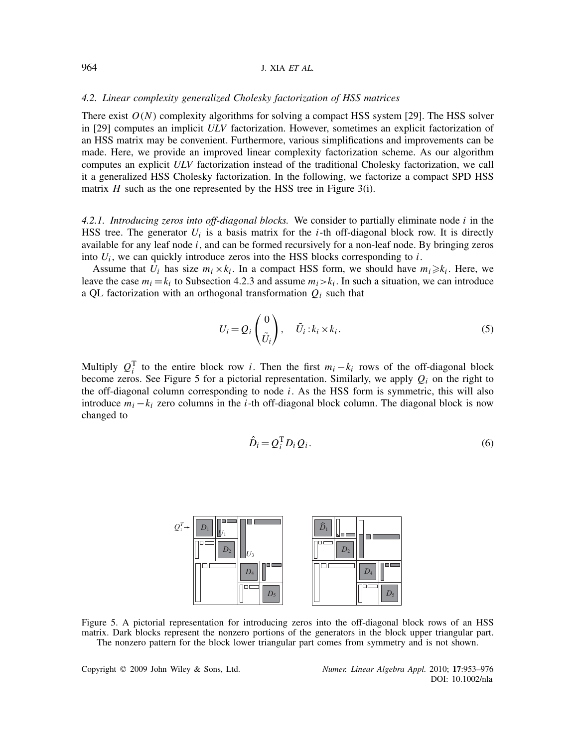### 964 J. XIA *ET AL.*

### *4.2. Linear complexity generalized Cholesky factorization of HSS matrices*

There exist  $O(N)$  complexity algorithms for solving a compact HSS system [29]. The HSS solver in [29] computes an implicit *ULV* factorization. However, sometimes an explicit factorization of an HSS matrix may be convenient. Furthermore, various simplifications and improvements can be made. Here, we provide an improved linear complexity factorization scheme. As our algorithm computes an explicit *ULV* factorization instead of the traditional Cholesky factorization, we call it a generalized HSS Cholesky factorization. In the following, we factorize a compact SPD HSS matrix *H* such as the one represented by the HSS tree in Figure 3(i).

*4.2.1. Introducing zeros into off-diagonal blocks.* We consider to partially eliminate node *i* in the HSS tree. The generator  $U_i$  is a basis matrix for the *i*-th off-diagonal block row. It is directly available for any leaf node *i*, and can be formed recursively for a non-leaf node. By bringing zeros into  $U_i$ , we can quickly introduce zeros into the HSS blocks corresponding to  $i$ .

Assume that  $U_i$  has size  $m_i \times k_i$ . In a compact HSS form, we should have  $m_i \geq k_i$ . Here, we leave the case  $m_i = k_i$  to Subsection 4.2.3 and assume  $m_i > k_i$ . In such a situation, we can introduce a QL factorization with an orthogonal transformation *Qi* such that

$$
U_i = Q_i \begin{pmatrix} 0 \\ \tilde{U}_i \end{pmatrix}, \quad \tilde{U}_i : k_i \times k_i.
$$
 (5)

Multiply  $Q_i^T$  to the entire block row *i*. Then the first  $m_i - k_i$  rows of the off-diagonal block become zeros. See Figure 5 for a pictorial representation. Similarly, we apply  $Q_i$  on the right to the off-diagonal column corresponding to node *i*. As the HSS form is symmetric, this will also introduce *mi* −*ki* zero columns in the *i*-th off-diagonal block column. The diagonal block is now changed to

$$
\hat{D}_i = Q_i^{\mathrm{T}} D_i Q_i. \tag{6}
$$



Figure 5. A pictorial representation for introducing zeros into the off-diagonal block rows of an HSS matrix. Dark blocks represent the nonzero portions of the generators in the block upper triangular part. The nonzero pattern for the block lower triangular part comes from symmetry and is not shown.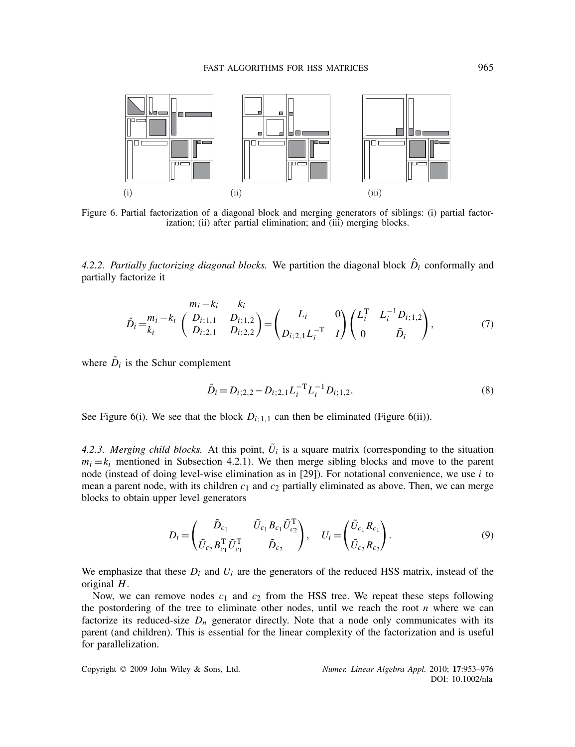

Figure 6. Partial factorization of a diagonal block and merging generators of siblings: (i) partial factorization; (ii) after partial elimination; and (iii) merging blocks.

4.2.2. Partially factorizing diagonal blocks. We partition the diagonal block  $\hat{D}_i$  conformally and partially factorize it

$$
\hat{D}_i = \frac{m_i - k_i}{k_i} \left( \begin{array}{ccc} n_i - k_i & k_i \\ D_{i;1,1} & D_{i;1,2} \\ D_{i;2,1} & D_{i;2,2} \end{array} \right) = \left( \begin{array}{ccc} L_i & 0 \\ D_{i;2,1} L_i^{-T} & I \end{array} \right) \left( \begin{array}{ccc} L_i^T & L_i^{-1} D_{i;1,2} \\ 0 & \tilde{D}_i \end{array} \right),\tag{7}
$$

where  $\tilde{D}_i$  is the Schur complement

$$
\tilde{D}_i = D_{i;2,2} - D_{i;2,1} L_i^{-T} L_i^{-1} D_{i;1,2}.
$$
\n(8)

See Figure 6(i). We see that the block  $D_{i;1,1}$  can then be eliminated (Figure 6(ii)).

4.2.3. Merging child blocks. At this point,  $\tilde{U}_i$  is a square matrix (corresponding to the situation  $m_i = k_i$  mentioned in Subsection 4.2.1). We then merge sibling blocks and move to the parent node (instead of doing level-wise elimination as in [29]). For notational convenience, we use *i* to mean a parent node, with its children  $c_1$  and  $c_2$  partially eliminated as above. Then, we can merge blocks to obtain upper level generators

$$
D_{i} = \begin{pmatrix} \tilde{D}_{c_{1}} & \tilde{U}_{c_{1}} B_{c_{1}} \tilde{U}_{c_{2}}^{T} \\ \tilde{U}_{c_{2}} B_{c_{1}}^{T} \tilde{U}_{c_{1}}^{T} & \tilde{D}_{c_{2}} \end{pmatrix}, \quad U_{i} = \begin{pmatrix} \tilde{U}_{c_{1}} R_{c_{1}} \\ \tilde{U}_{c_{2}} R_{c_{2}} \end{pmatrix}.
$$
 (9)

We emphasize that these  $D_i$  and  $U_i$  are the generators of the reduced HSS matrix, instead of the original *H*.

Now, we can remove nodes  $c_1$  and  $c_2$  from the HSS tree. We repeat these steps following the postordering of the tree to eliminate other nodes, until we reach the root  $n$  where we can factorize its reduced-size  $D_n$  generator directly. Note that a node only communicates with its parent (and children). This is essential for the linear complexity of the factorization and is useful for parallelization.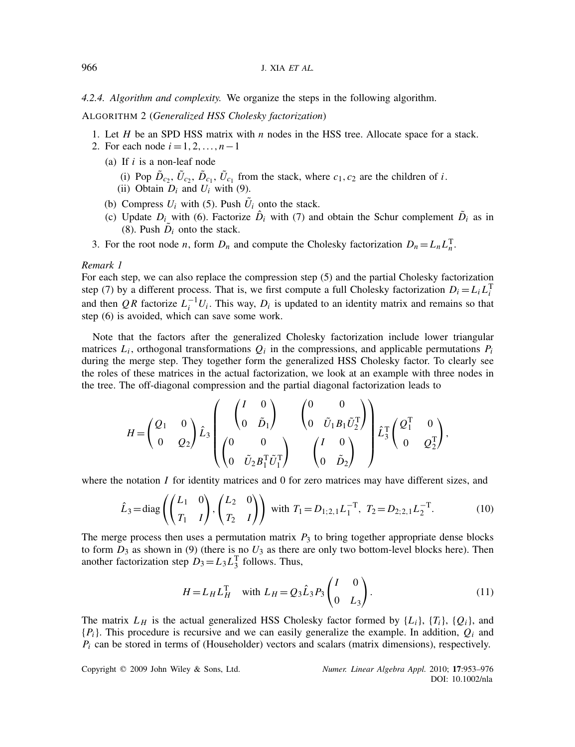*4.2.4. Algorithm and complexity.* We organize the steps in the following algorithm.

ALGORITHM 2 (*Generalized HSS Cholesky factorization*)

- 1. Let *H* be an SPD HSS matrix with *n* nodes in the HSS tree. Allocate space for a stack.
- 2. For each node  $i = 1, 2, ..., n-1$ 
	- (a) If *i* is a non-leaf node
		- (i) Pop  $\tilde{D}_{c_2}$ ,  $\tilde{U}_{c_2}$ ,  $\tilde{D}_{c_1}$ ,  $\tilde{U}_{c_1}$  from the stack, where  $c_1$ ,  $c_2$  are the children of *i*.
		- (ii) Obtain  $D_i$  and  $U_i$  with (9).
	- (b) Compress  $U_i$  with (5). Push  $\tilde{U}_i$  onto the stack.
	- (c) Update  $D_i$  with (6). Factorize  $\hat{D}_i$  with (7) and obtain the Schur complement  $\tilde{D}_i$  as in (8). Push  $\ddot{D}_i$  onto the stack.
- 3. For the root node *n*, form  $D_n$  and compute the Cholesky factorization  $D_n = L_n L_n^T$ .

# *Remark 1*

For each step, we can also replace the compression step (5) and the partial Cholesky factorization step (7) by a different process. That is, we first compute a full Cholesky factorization  $D_i = L_i L_i^T$ and then *QR* factorize  $L_i^{-1}U_i$ . This way,  $D_i$  is updated to an identity matrix and remains so that step (6) is avoided, which can save some work.

Note that the factors after the generalized Cholesky factorization include lower triangular matrices  $L_i$ , orthogonal transformations  $Q_i$  in the compressions, and applicable permutations  $P_i$ during the merge step. They together form the generalized HSS Cholesky factor. To clearly see the roles of these matrices in the actual factorization, we look at an example with three nodes in the tree. The off-diagonal compression and the partial diagonal factorization leads to

$$
H = \begin{pmatrix} Q_1 & 0 \\ 0 & Q_2 \end{pmatrix} \hat{L}_3 \begin{pmatrix} \begin{pmatrix} I & 0 \\ 0 & \tilde{D}_1 \end{pmatrix} & \begin{pmatrix} 0 & 0 \\ 0 & \tilde{U}_1 B_1 \tilde{U}_2^{\mathrm{T}} \end{pmatrix} \\ \begin{pmatrix} 0 & 0 \\ 0 & \tilde{U}_2 B_1^{\mathrm{T}} \tilde{U}_1^{\mathrm{T}} \end{pmatrix} & \begin{pmatrix} I & 0 \\ 0 & \tilde{D}_2 \end{pmatrix} \end{pmatrix} \hat{L}_3^{\mathrm{T}} \begin{pmatrix} Q_1^{\mathrm{T}} & 0 \\ 0 & Q_2^{\mathrm{T}} \end{pmatrix},
$$

where the notation *I* for identity matrices and 0 for zero matrices may have different sizes, and

$$
\hat{L}_3 = \text{diag}\left(\begin{pmatrix} L_1 & 0 \\ T_1 & I \end{pmatrix}, \begin{pmatrix} L_2 & 0 \\ T_2 & I \end{pmatrix}\right) \text{ with } T_1 = D_{1;2,1} L_1^{-T}, T_2 = D_{2;2,1} L_2^{-T}. \tag{10}
$$

The merge process then uses a permutation matrix  $P_3$  to bring together appropriate dense blocks to form  $D_3$  as shown in (9) (there is no  $U_3$  as there are only two bottom-level blocks here). Then another factorization step  $D_3 = L_3 L_3^T$  follows. Thus,

$$
H = L_H L_H^T \quad \text{with } L_H = Q_3 \hat{L}_3 P_3 \begin{pmatrix} I & 0 \\ 0 & L_3 \end{pmatrix}.
$$
 (11)

The matrix  $L_H$  is the actual generalized HSS Cholesky factor formed by  $\{L_i\}$ ,  $\{T_i\}$ ,  $\{Q_i\}$ , and {*Pi*}. This procedure is recursive and we can easily generalize the example. In addition, *Qi* and  $P_i$  can be stored in terms of (Householder) vectors and scalars (matrix dimensions), respectively.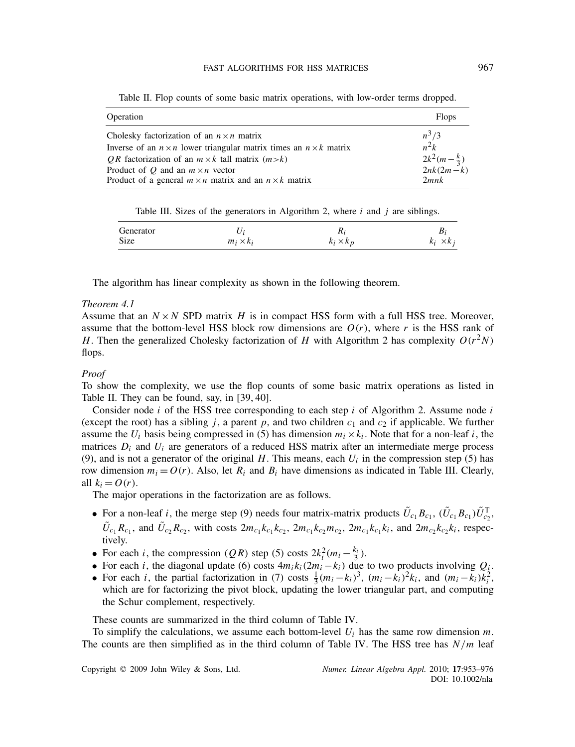| Operation                                                                       | <b>Flops</b>                            |
|---------------------------------------------------------------------------------|-----------------------------------------|
| Cholesky factorization of an $n \times n$ matrix                                | $n^3/3$                                 |
| Inverse of an $n \times n$ lower triangular matrix times an $n \times k$ matrix | $n^2k$                                  |
| <i>OR</i> factorization of an $m \times k$ tall matrix $(m \ge k)$              | $\frac{2k^2(m-\frac{k}{3})}{2nk(2m-k)}$ |
| Product of Q and an $m \times n$ vector                                         |                                         |
| Product of a general $m \times n$ matrix and an $n \times k$ matrix             | 2mnk                                    |

Table II. Flop counts of some basic matrix operations, with low-order terms dropped.

Table III. Sizes of the generators in Algorithm 2, where *i* and *j* are siblings.

| Generator |                  | 111              |                                       |
|-----------|------------------|------------------|---------------------------------------|
| Size      | $m_i \times k_i$ | $k_i \times k_p$ | $\times$ k <sub>i</sub><br>$\kappa_i$ |

The algorithm has linear complexity as shown in the following theorem.

# *Theorem 4.1*

Assume that an  $N \times N$  SPD matrix *H* is in compact HSS form with a full HSS tree. Moreover, assume that the bottom-level HSS block row dimensions are  $O(r)$ , where r is the HSS rank of *H*. Then the generalized Cholesky factorization of *H* with Algorithm 2 has complexity  $O(r^2N)$ flops.

# *Proof*

To show the complexity, we use the flop counts of some basic matrix operations as listed in Table II. They can be found, say, in [39, 40].

Consider node *i* of the HSS tree corresponding to each step *i* of Algorithm 2. Assume node *i* (except the root) has a sibling  $j$ , a parent  $p$ , and two children  $c_1$  and  $c_2$  if applicable. We further assume the  $U_i$  basis being compressed in (5) has dimension  $m_i \times k_i$ . Note that for a non-leaf *i*, the matrices  $D_i$  and  $U_i$  are generators of a reduced HSS matrix after an intermediate merge process (9), and is not a generator of the original  $H$ . This means, each  $U_i$  in the compression step (5) has row dimension  $m_i = O(r)$ . Also, let  $R_i$  and  $B_i$  have dimensions as indicated in Table III. Clearly, all  $k_i = O(r)$ .

The major operations in the factorization are as follows.

- For a non-leaf *i*, the merge step (9) needs four matrix-matrix products  $\tilde{U}_{c_1} B_{c_1}$ ,  $(\tilde{U}_{c_1} B_{c_1}) \tilde{U}_{c_2}^T$ ,  $\tilde{U}_{c_1}R_{c_1}$ , and  $\tilde{U}_{c_2}R_{c_2}$ , with costs  $2m_{c_1}k_{c_1}k_{c_2}$ ,  $2m_{c_1}k_{c_2}m_{c_2}$ ,  $2m_{c_1}k_{c_1}k_i$ , and  $2m_{c_2}k_{c_2}k_i$ , respectively.
- For each *i*, the compression *(QR)* step (5) costs  $2k_i^2(m_i \frac{k_i}{3})$ .
- For each *i*, the diagonal update (6) costs  $4m_i k_i (2m_i k_i)$  due to two products involving  $Q_i$ .
- For each *i*, the partial factorization in (7) costs  $\frac{1}{3}(m_i k_i)^3$ ,  $(m_i k_i)^2 k_i$ , and  $(m_i k_i)k_i^2$ , which are for factorizing the pivot block, updating the lower triangular part, and computing the Schur complement, respectively.

These counts are summarized in the third column of Table IV.

To simplify the calculations, we assume each bottom-level *Ui* has the same row dimension *m*. The counts are then simplified as in the third column of Table IV. The HSS tree has *N/m* leaf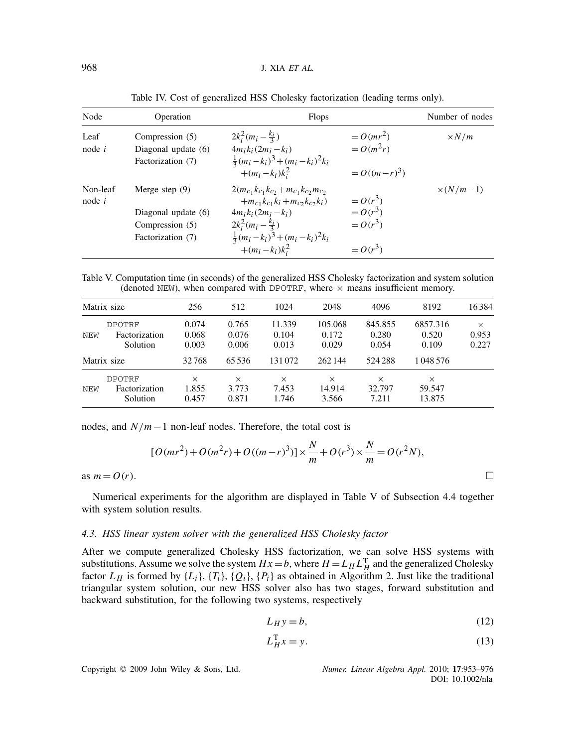| Node                 | Operation                                                                       | <b>Flops</b>                                                                                                                                                                                                                     |                                                   | Number of nodes  |
|----------------------|---------------------------------------------------------------------------------|----------------------------------------------------------------------------------------------------------------------------------------------------------------------------------------------------------------------------------|---------------------------------------------------|------------------|
| Leaf<br>node $i$     | Compression (5)<br>Diagonal update $(6)$<br>Factorization (7)                   | $2k_i^2(m_i - \frac{k_i}{3})$<br>$4m_i k_i (2m_i - k_i)$<br>$\frac{1}{3}(m_i-k_i)^3 + (m_i-k_i)^2k_i$<br>$+(m_i-k_i)k_i^2$                                                                                                       | $= O(mr^2)$<br>$=O(m^2r)$<br>$= O((m-r)^{3})$     | $\times N/m$     |
| Non-leaf<br>node $i$ | Merge step $(9)$<br>Diagonal update (6)<br>Compression (5)<br>Factorization (7) | $2(m_{c_1}k_{c_1}k_{c_2}+m_{c_1}k_{c_2}m_{c_2})$<br>$+m_{c_1}k_{c_1}k_i+m_{c_2}k_{c_2}k_i)$<br>$4m_i k_i (2m_i - k_i)$<br>$2k_i^2(m_i - \frac{k_i}{3})$<br>$\frac{1}{3}(m_i - k_i)^3 + (m_i - k_i)^2 k_i$<br>$+(m_i - k_i)k_i^2$ | $=O(r^3)$<br>$=O(r^3)$<br>$=O(r^3)$<br>$= O(r^3)$ | $\times (N/m-1)$ |

Table IV. Cost of generalized HSS Cholesky factorization (leading terms only).

Table V. Computation time (in seconds) of the generalized HSS Cholesky factorization and system solution (denoted NEW), when compared with DPOTRF, where  $\times$  means insufficient memory.

| Matrix size |                                            | 256                        | 512                        | 1024                       | 2048                        | 4096                        | 8192                         | 16384                      |
|-------------|--------------------------------------------|----------------------------|----------------------------|----------------------------|-----------------------------|-----------------------------|------------------------------|----------------------------|
| NEW         | <b>DPOTRF</b><br>Factorization<br>Solution | 0.074<br>0.068<br>0.003    | 0.765<br>0.076<br>0.006    | 11.339<br>0.104<br>0.013   | 105.068<br>0.172<br>0.029   | 845.855<br>0.280<br>0.054   | 6857.316<br>0.520<br>0.109   | $\times$<br>0.953<br>0.227 |
|             | Matrix size                                | 32768                      | 65 5 36                    | 131072                     | 262144                      | 524 288                     | 1 048 576                    |                            |
| NEW         | <b>DPOTRF</b><br>Factorization<br>Solution | $\times$<br>1.855<br>0.457 | $\times$<br>3.773<br>0.871 | $\times$<br>7.453<br>1.746 | $\times$<br>14.914<br>3.566 | $\times$<br>32.797<br>7.211 | $\times$<br>59.547<br>13.875 |                            |

nodes, and *N/m*−1 non-leaf nodes. Therefore, the total cost is

$$
[O(mr^{2}) + O(m^{2}r) + O((m-r)^{3})] \times \frac{N}{m} + O(r^{3}) \times \frac{N}{m} = O(r^{2}N),
$$
 as  $m = O(r)$ .

Numerical experiments for the algorithm are displayed in Table V of Subsection 4.4 together with system solution results.

### *4.3. HSS linear system solver with the generalized HSS Cholesky factor*

After we compute generalized Cholesky HSS factorization, we can solve HSS systems with substitutions. Assume we solve the system  $Hx = b$ , where  $H = L_H L_H^T$  and the generalized Cholesky factor  $L_H$  is formed by  $\{L_i\}$ ,  $\{T_i\}$ ,  $\{Q_i\}$ ,  $\{P_i\}$  as obtained in Algorithm 2. Just like the traditional triangular system solution, our new HSS solver also has two stages, forward substitution and backward substitution, for the following two systems, respectively

$$
L_H y = b,\t\t(12)
$$

$$
L_H^{\mathrm{T}} x = y. \tag{13}
$$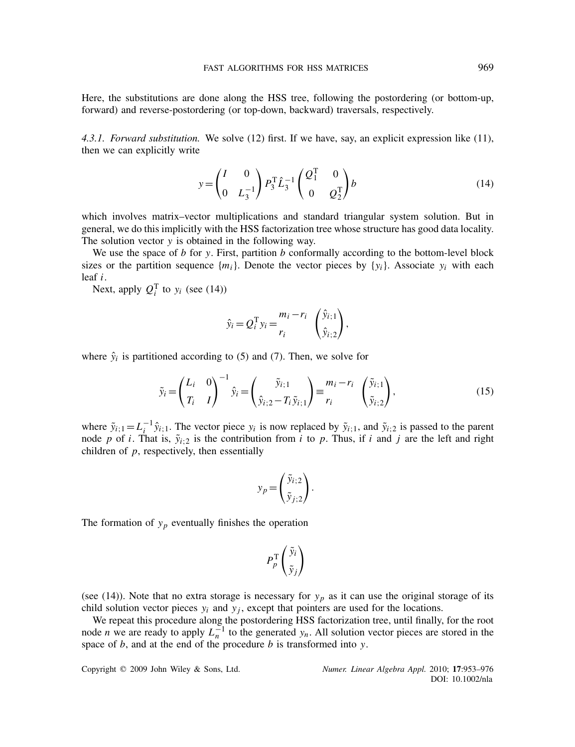Here, the substitutions are done along the HSS tree, following the postordering (or bottom-up, forward) and reverse-postordering (or top-down, backward) traversals, respectively.

*4.3.1. Forward substitution.* We solve (12) first. If we have, say, an explicit expression like (11), then we can explicitly write

$$
y = \begin{pmatrix} I & 0 \\ 0 & L_3^{-1} \end{pmatrix} P_3^{\mathrm{T}} \hat{L}_3^{-1} \begin{pmatrix} Q_1^{\mathrm{T}} & 0 \\ 0 & Q_2^{\mathrm{T}} \end{pmatrix} b \tag{14}
$$

which involves matrix–vector multiplications and standard triangular system solution. But in general, we do this implicitly with the HSS factorization tree whose structure has good data locality. The solution vector *y* is obtained in the following way.

We use the space of *b* for *y*. First, partition *b* conformally according to the bottom-level block sizes or the partition sequence  ${m_i}$ . Denote the vector pieces by  ${y_i}$ . Associate  $y_i$  with each leaf *i*.

Next, apply  $Q_i^T$  to  $y_i$  (see (14))

$$
\hat{y}_i = Q_i^{\mathrm{T}} y_i = \frac{m_i - r_i}{r_i} \left( \frac{\hat{y}_{i;1}}{\hat{y}_{i;2}} \right),
$$

where  $\hat{y}_i$  is partitioned according to (5) and (7). Then, we solve for

$$
\tilde{y}_i = \begin{pmatrix} L_i & 0 \\ T_i & I \end{pmatrix}^{-1} \hat{y}_i = \begin{pmatrix} \tilde{y}_{i;1} \\ \hat{y}_{i;2} - T_i \tilde{y}_{i;1} \end{pmatrix} \equiv \frac{m_i - r_i}{r_i} \begin{pmatrix} \tilde{y}_{i;1} \\ \tilde{y}_{i;2} \end{pmatrix},
$$
\n(15)

where  $\tilde{y}_{i;1} = L_i^{-1} \hat{y}_{i;1}$ . The vector piece  $y_i$  is now replaced by  $\tilde{y}_{i;1}$ , and  $\tilde{y}_{i;2}$  is passed to the parent node *p* of *i*. That is,  $\tilde{y}_{i:2}$  is the contribution from *i* to *p*. Thus, if *i* and *j* are the left and right children of *p*, respectively, then essentially

$$
y_p = \begin{pmatrix} \tilde{y}_{i;2} \\ \tilde{y}_{j;2} \end{pmatrix}.
$$

The formation of  $y_p$  eventually finishes the operation

$$
P_p^{\mathrm{T}}\left(\begin{matrix} \tilde{\mathrm{y}}_i \\ \tilde{\mathrm{y}}_j \end{matrix}\right)
$$

(see (14)). Note that no extra storage is necessary for  $y_p$  as it can use the original storage of its child solution vector pieces  $y_i$  and  $y_j$ , except that pointers are used for the locations.

We repeat this procedure along the postordering HSS factorization tree, until finally, for the root node *n* we are ready to apply  $L_n^{-1}$  to the generated *y<sub>n</sub>*. All solution vector pieces are stored in the space of *b*, and at the end of the procedure *b* is transformed into *y*.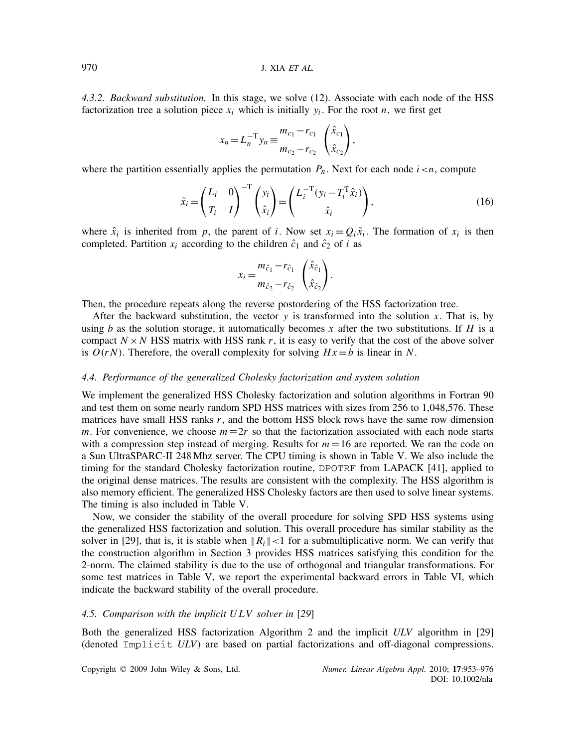*4.3.2. Backward substitution.* In this stage, we solve (12). Associate with each node of the HSS factorization tree a solution piece  $x_i$  which is initially  $y_i$ . For the root *n*, we first get

$$
x_n = L_n^{-T} y_n \equiv \frac{m_{c_1} - r_{c_1}}{m_{c_2} - r_{c_2}} \left(\frac{\hat{x}_{c_1}}{\hat{x}_{c_2}}\right),
$$

where the partition essentially applies the permutation  $P_n$ . Next for each node  $i \lt n$ , compute

$$
\tilde{x}_i = \begin{pmatrix} L_i & 0 \\ T_i & I \end{pmatrix}^{-T} \begin{pmatrix} y_i \\ \hat{x}_i \end{pmatrix} = \begin{pmatrix} L_i^{-T} (y_i - T_i^T \hat{x}_i) \\ \hat{x}_i \end{pmatrix},
$$
\n(16)

where  $\hat{x}_i$  is inherited from *p*, the parent of *i*. Now set  $x_i = Q_i \tilde{x}_i$ . The formation of  $x_i$  is then completed. Partition  $x_i$  according to the children  $\hat{c}_1$  and  $\hat{c}_2$  of *i* as

$$
x_i = \frac{m_{\hat{c}_1} - r_{\hat{c}_1}}{m_{\hat{c}_2} - r_{\hat{c}_2}} \left(\frac{\hat{x}_{\hat{c}_1}}{\hat{x}_{\hat{c}_2}}\right).
$$

Then, the procedure repeats along the reverse postordering of the HSS factorization tree.

After the backward substitution, the vector *y* is transformed into the solution *x*. That is, by using *b* as the solution storage, it automatically becomes *x* after the two substitutions. If *H* is a compact  $N \times N$  HSS matrix with HSS rank r, it is easy to verify that the cost of the above solver is  $O(rN)$ . Therefore, the overall complexity for solving  $Hx = b$  is linear in N.

### *4.4. Performance of the generalized Cholesky factorization and system solution*

We implement the generalized HSS Cholesky factorization and solution algorithms in Fortran 90 and test them on some nearly random SPD HSS matrices with sizes from 256 to 1,048,576. These matrices have small HSS ranks *r*, and the bottom HSS block rows have the same row dimension *m*. For convenience, we choose  $m \equiv 2r$  so that the factorization associated with each node starts with a compression step instead of merging. Results for  $m = 16$  are reported. We ran the code on a Sun UltraSPARC-II 248 Mhz server. The CPU timing is shown in Table V. We also include the timing for the standard Cholesky factorization routine, DPOTRF from LAPACK [41], applied to the original dense matrices. The results are consistent with the complexity. The HSS algorithm is also memory efficient. The generalized HSS Cholesky factors are then used to solve linear systems. The timing is also included in Table V.

Now, we consider the stability of the overall procedure for solving SPD HSS systems using the generalized HSS factorization and solution. This overall procedure has similar stability as the solver in [29], that is, it is stable when  $\|R_i\| < 1$  for a submultiplicative norm. We can verify that the construction algorithm in Section 3 provides HSS matrices satisfying this condition for the 2-norm. The claimed stability is due to the use of orthogonal and triangular transformations. For some test matrices in Table V, we report the experimental backward errors in Table VI, which indicate the backward stability of the overall procedure.

### *4.5. Comparison with the implicit U LV solver in* [*29*]

Both the generalized HSS factorization Algorithm 2 and the implicit *ULV* algorithm in [29] (denoted Implicit *ULV*) are based on partial factorizations and off-diagonal compressions.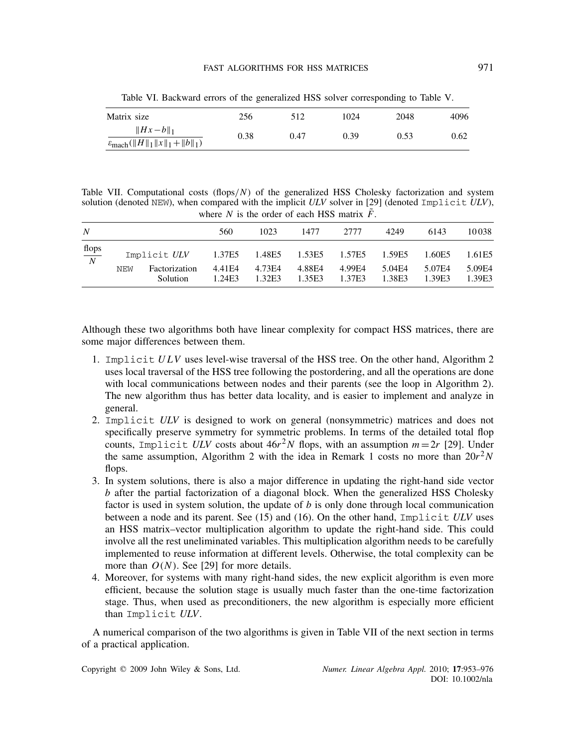| Matrix size                                                            | 256  | 512  | 1024 | 2048 | 4096 |
|------------------------------------------------------------------------|------|------|------|------|------|
| $\ Hx-b\ _1$<br>$\varepsilon_{\text{mach}}(\ H\ _1 \ x\ _1 + \ b\ _1)$ | 0.38 | 0.47 | 0.39 | 0.53 | 0.62 |

Table VI. Backward errors of the generalized HSS solver corresponding to Table V.

Table VII. Computational costs *(*flops*/N)* of the generalized HSS Cholesky factorization and system solution (denoted NEW), when compared with the implicit *ULV* solver in [29] (denoted Implicit *ULV*), where *N* is the order of each HSS matrix  $\tilde{F}$ .

| N                      |     |                                           | 560                         | 1023                       | 1477                       | 2777                       | 4249                       | 6143                       | 10038                      |
|------------------------|-----|-------------------------------------------|-----------------------------|----------------------------|----------------------------|----------------------------|----------------------------|----------------------------|----------------------------|
| $rac{\text{flops}}{N}$ | NEW | Implicit ULV<br>Factorization<br>Solution | 1.37E5<br>4.41 E4<br>1.24E3 | 1.48E5<br>4.73E4<br>1.32E3 | 1.53E5<br>4.88E4<br>1.35E3 | 1.57E5<br>4.99E4<br>1.37E3 | 1.59E5<br>5.04E4<br>1.38E3 | 1.60E5<br>5.07E4<br>1.39E3 | 1.61E5<br>5.09E4<br>1.39E3 |

Although these two algorithms both have linear complexity for compact HSS matrices, there are some major differences between them.

- 1. Implicit *ULV* uses level-wise traversal of the HSS tree. On the other hand, Algorithm 2 uses local traversal of the HSS tree following the postordering, and all the operations are done with local communications between nodes and their parents (see the loop in Algorithm 2). The new algorithm thus has better data locality, and is easier to implement and analyze in general.
- 2. Implicit *ULV* is designed to work on general (nonsymmetric) matrices and does not specifically preserve symmetry for symmetric problems. In terms of the detailed total flop counts, Implicit *ULV* costs about  $46r^2N$  flops, with an assumption  $m=2r$  [29]. Under the same assumption, Algorithm 2 with the idea in Remark 1 costs no more than  $20r^2N$ flops.
- 3. In system solutions, there is also a major difference in updating the right-hand side vector *b* after the partial factorization of a diagonal block. When the generalized HSS Cholesky factor is used in system solution, the update of *b* is only done through local communication between a node and its parent. See (15) and (16). On the other hand, Implicit *ULV* uses an HSS matrix–vector multiplication algorithm to update the right-hand side. This could involve all the rest uneliminated variables. This multiplication algorithm needs to be carefully implemented to reuse information at different levels. Otherwise, the total complexity can be more than  $O(N)$ . See [29] for more details.
- 4. Moreover, for systems with many right-hand sides, the new explicit algorithm is even more efficient, because the solution stage is usually much faster than the one-time factorization stage. Thus, when used as preconditioners, the new algorithm is especially more efficient than Implicit *ULV*.

A numerical comparison of the two algorithms is given in Table VII of the next section in terms of a practical application.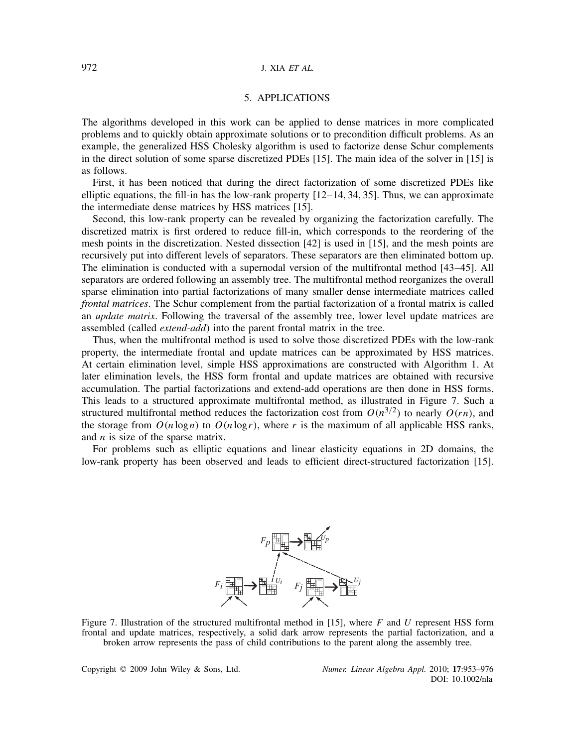# 972 J. XIA *ET AL.*

# 5. APPLICATIONS

The algorithms developed in this work can be applied to dense matrices in more complicated problems and to quickly obtain approximate solutions or to precondition difficult problems. As an example, the generalized HSS Cholesky algorithm is used to factorize dense Schur complements in the direct solution of some sparse discretized PDEs [15]. The main idea of the solver in [15] is as follows.

First, it has been noticed that during the direct factorization of some discretized PDEs like elliptic equations, the fill-in has the low-rank property  $[12–14, 34, 35]$ . Thus, we can approximate the intermediate dense matrices by HSS matrices [15].

Second, this low-rank property can be revealed by organizing the factorization carefully. The discretized matrix is first ordered to reduce fill-in, which corresponds to the reordering of the mesh points in the discretization. Nested dissection [42] is used in [15], and the mesh points are recursively put into different levels of separators. These separators are then eliminated bottom up. The elimination is conducted with a supernodal version of the multifrontal method [43–45]. All separators are ordered following an assembly tree. The multifrontal method reorganizes the overall sparse elimination into partial factorizations of many smaller dense intermediate matrices called *frontal matrices*. The Schur complement from the partial factorization of a frontal matrix is called an *update matrix*. Following the traversal of the assembly tree, lower level update matrices are assembled (called *extend-add*) into the parent frontal matrix in the tree.

Thus, when the multifrontal method is used to solve those discretized PDEs with the low-rank property, the intermediate frontal and update matrices can be approximated by HSS matrices. At certain elimination level, simple HSS approximations are constructed with Algorithm 1. At later elimination levels, the HSS form frontal and update matrices are obtained with recursive accumulation. The partial factorizations and extend-add operations are then done in HSS forms. This leads to a structured approximate multifrontal method, as illustrated in Figure 7. Such a structured multifrontal method reduces the factorization cost from  $O(n^{3/2})$  to nearly  $O(rn)$ , and the storage from  $O(n \log n)$  to  $O(n \log r)$ , where r is the maximum of all applicable HSS ranks, and *n* is size of the sparse matrix.

For problems such as elliptic equations and linear elasticity equations in 2D domains, the low-rank property has been observed and leads to efficient direct-structured factorization [15].



Figure 7. Illustration of the structured multifrontal method in [15], where *F* and *U* represent HSS form frontal and update matrices, respectively, a solid dark arrow represents the partial factorization, and a broken arrow represents the pass of child contributions to the parent along the assembly tree.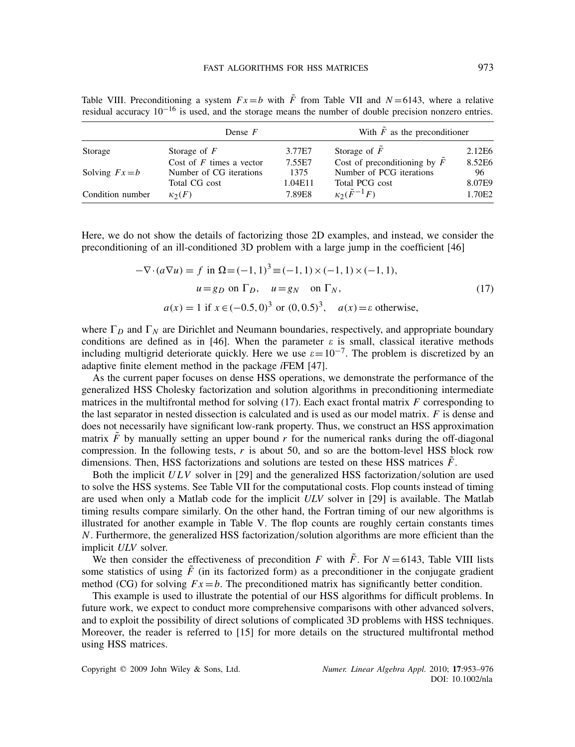Table VIII. Preconditioning a system  $Fx = b$  with  $\tilde{F}$  from Table VII and  $N = 6143$ , where a relative residual accuracy 10−<sup>16</sup> is used, and the storage means the number of double precision nonzero entries.

|                  | Dense $F$                  |         | With $\tilde{F}$ as the preconditioner |        |  |
|------------------|----------------------------|---------|----------------------------------------|--------|--|
| Storage          | Storage of $F$             | 3.77E7  | Storage of $F$                         | 2.12E6 |  |
|                  | Cost of $F$ times a vector | 7.55E7  | Cost of preconditioning by $F$         | 8.52E6 |  |
| Solving $Fx=b$   | Number of CG iterations    | 1375    | Number of PCG iterations               | 96     |  |
|                  | Total CG cost              | 1.04E11 | Total PCG cost                         | 8.07E9 |  |
| Condition number | $\kappa_2(F)$              | 7.89E8  | $\kappa_2(\tilde{F}^{-1}F)$            | 1.70E2 |  |

Here, we do not show the details of factorizing those 2D examples, and instead, we consider the preconditioning of an ill-conditioned 3D problem with a large jump in the coefficient [46]

$$
-\nabla \cdot (a\nabla u) = f \text{ in } \Omega = (-1, 1)^3 \equiv (-1, 1) \times (-1, 1) \times (-1, 1),
$$
  
\n
$$
u = g_D \text{ on } \Gamma_D, \quad u = g_N \text{ on } \Gamma_N,
$$
  
\n
$$
a(x) = 1 \text{ if } x \in (-0.5, 0)^3 \text{ or } (0, 0.5)^3, \quad a(x) = \varepsilon \text{ otherwise},
$$
\n(17)

where  $\Gamma_D$  and  $\Gamma_N$  are Dirichlet and Neumann boundaries, respectively, and appropriate boundary conditions are defined as in [46]. When the parameter  $\varepsilon$  is small, classical iterative methods including multigrid deteriorate quickly. Here we use  $\varepsilon = 10^{-7}$ . The problem is discretized by an adaptive finite element method in the package *i*FEM [47].

As the current paper focuses on dense HSS operations, we demonstrate the performance of the generalized HSS Cholesky factorization and solution algorithms in preconditioning intermediate matrices in the multifrontal method for solving (17). Each exact frontal matrix *F* corresponding to the last separator in nested dissection is calculated and is used as our model matrix. *F* is dense and does not necessarily have significant low-rank property. Thus, we construct an HSS approximation matrix  $\ddot{F}$  by manually setting an upper bound  $r$  for the numerical ranks during the off-diagonal compression. In the following tests,  $r$  is about 50, and so are the bottom-level HSS block row dimensions. Then, HSS factorizations and solutions are tested on these HSS matrices  $\ddot{F}$ .

Both the implicit *ULV* solver in [29] and the generalized HSS factorization*/*solution are used to solve the HSS systems. See Table VII for the computational costs. Flop counts instead of timing are used when only a Matlab code for the implicit *ULV* solver in [29] is available. The Matlab timing results compare similarly. On the other hand, the Fortran timing of our new algorithms is illustrated for another example in Table V. The flop counts are roughly certain constants times *N*. Furthermore, the generalized HSS factorization*/*solution algorithms are more efficient than the implicit *ULV* solver.

We then consider the effectiveness of precondition *F* with  $\tilde{F}$ . For  $N = 6143$ , Table VIII lists some statistics of using  $\bar{F}$  (in its factorized form) as a preconditioner in the conjugate gradient method (CG) for solving  $Fx = b$ . The preconditioned matrix has significantly better condition.

This example is used to illustrate the potential of our HSS algorithms for difficult problems. In future work, we expect to conduct more comprehensive comparisons with other advanced solvers, and to exploit the possibility of direct solutions of complicated 3D problems with HSS techniques. Moreover, the reader is referred to [15] for more details on the structured multifrontal method using HSS matrices.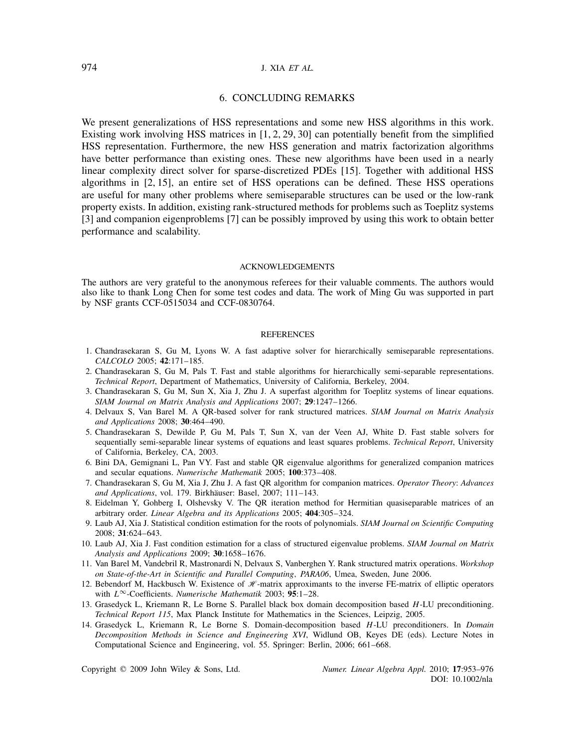# 974 J. XIA *ET AL.*

# 6. CONCLUDING REMARKS

We present generalizations of HSS representations and some new HSS algorithms in this work. Existing work involving HSS matrices in [1, 2, 29, 30] can potentially benefit from the simplified HSS representation. Furthermore, the new HSS generation and matrix factorization algorithms have better performance than existing ones. These new algorithms have been used in a nearly linear complexity direct solver for sparse-discretized PDEs [15]. Together with additional HSS algorithms in [2, 15], an entire set of HSS operations can be defined. These HSS operations are useful for many other problems where semiseparable structures can be used or the low-rank property exists. In addition, existing rank-structured methods for problems such as Toeplitz systems [3] and companion eigenproblems [7] can be possibly improved by using this work to obtain better performance and scalability.

#### ACKNOWLEDGEMENTS

The authors are very grateful to the anonymous referees for their valuable comments. The authors would also like to thank Long Chen for some test codes and data. The work of Ming Gu was supported in part by NSF grants CCF-0515034 and CCF-0830764.

### **REFERENCES**

- 1. Chandrasekaran S, Gu M, Lyons W. A fast adaptive solver for hierarchically semiseparable representations. *CALCOLO* 2005; **42**:171–185.
- 2. Chandrasekaran S, Gu M, Pals T. Fast and stable algorithms for hierarchically semi-separable representations. *Technical Report*, Department of Mathematics, University of California, Berkeley, 2004.
- 3. Chandrasekaran S, Gu M, Sun X, Xia J, Zhu J. A superfast algorithm for Toeplitz systems of linear equations. *SIAM Journal on Matrix Analysis and Applications* 2007; **29**:1247–1266.
- 4. Delvaux S, Van Barel M. A QR-based solver for rank structured matrices. *SIAM Journal on Matrix Analysis and Applications* 2008; **30**:464–490.
- 5. Chandrasekaran S, Dewilde P, Gu M, Pals T, Sun X, van der Veen AJ, White D. Fast stable solvers for sequentially semi-separable linear systems of equations and least squares problems. *Technical Report*, University of California, Berkeley, CA, 2003.
- 6. Bini DA, Gemignani L, Pan VY. Fast and stable QR eigenvalue algorithms for generalized companion matrices and secular equations. *Numerische Mathematik* 2005; **100**:373–408.
- 7. Chandrasekaran S, Gu M, Xia J, Zhu J. A fast QR algorithm for companion matrices. *Operator Theory*: *Advances and Applications*, vol. 179. Birkhäuser: Basel, 2007; 111-143.
- 8. Eidelman Y, Gohberg I, Olshevsky V. The QR iteration method for Hermitian quasiseparable matrices of an arbitrary order. *Linear Algebra and its Applications* 2005; **404**:305–324.
- 9. Laub AJ, Xia J. Statistical condition estimation for the roots of polynomials. *SIAM Journal on Scientific Computing* 2008; **31**:624–643.
- 10. Laub AJ, Xia J. Fast condition estimation for a class of structured eigenvalue problems. *SIAM Journal on Matrix Analysis and Applications* 2009; **30**:1658–1676.
- 11. Van Barel M, Vandebril R, Mastronardi N, Delvaux S, Vanberghen Y. Rank structured matrix operations. *Workshop on State-of-the-Art in Scientific and Parallel Computing, PARA06*, Umea, Sweden, June 2006.
- 12. Bebendorf M, Hackbusch W. Existence of  $\mathcal{H}$ -matrix approximants to the inverse FE-matrix of elliptic operators with *L*∞-Coefficients. *Numerische Mathematik* 2003; **95**:1–28.
- 13. Grasedyck L, Kriemann R, Le Borne S. Parallel black box domain decomposition based *H*-LU preconditioning. *Technical Report 115*, Max Planck Institute for Mathematics in the Sciences, Leipzig, 2005.
- 14. Grasedyck L, Kriemann R, Le Borne S. Domain-decomposition based *H*-LU preconditioners. In *Domain Decomposition Methods in Science and Engineering XVI*, Widlund OB, Keyes DE (eds). Lecture Notes in Computational Science and Engineering, vol. 55. Springer: Berlin, 2006; 661–668.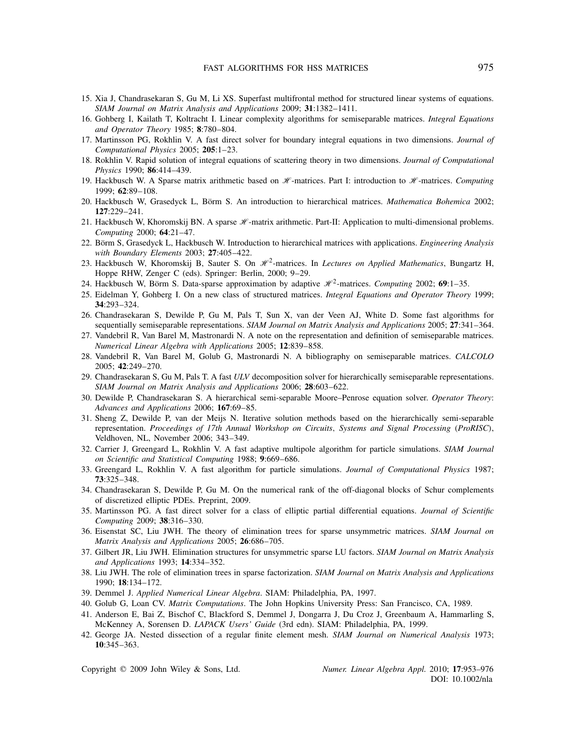- 15. Xia J, Chandrasekaran S, Gu M, Li XS. Superfast multifrontal method for structured linear systems of equations. *SIAM Journal on Matrix Analysis and Applications* 2009; **31**:1382–1411.
- 16. Gohberg I, Kailath T, Koltracht I. Linear complexity algorithms for semiseparable matrices. *Integral Equations and Operator Theory* 1985; **8**:780–804.
- 17. Martinsson PG, Rokhlin V. A fast direct solver for boundary integral equations in two dimensions. *Journal of Computational Physics* 2005; **205**:1–23.
- 18. Rokhlin V. Rapid solution of integral equations of scattering theory in two dimensions. *Journal of Computational Physics* 1990; **86**:414–439.
- 19. Hackbusch W. A Sparse matrix arithmetic based on  $H$ -matrices. Part I: introduction to  $H$ -matrices. *Computing* 1999; **62**:89–108.
- 20. Hackbusch W, Grasedyck L, Börm S. An introduction to hierarchical matrices. *Mathematica Bohemica* 2002; **127**:229–241.
- 21. Hackbusch W, Khoromskij BN. A sparse  $\mathcal{H}$ -matrix arithmetic. Part-II: Application to multi-dimensional problems. *Computing* 2000; **64**:21–47.
- 22. Börm S, Grasedyck L, Hackbusch W. Introduction to hierarchical matrices with applications. *Engineering Analysis with Boundary Elements* 2003; **27**:405–422.
- 23. Hackbusch W, Khoromskij B, Sauter S. On  $\mathcal{H}^2$ -matrices. In *Lectures on Applied Mathematics*, Bungartz H, Hoppe RHW, Zenger C (eds). Springer: Berlin, 2000; 9–29.
- 24. Hackbusch W, Börm S. Data-sparse approximation by adaptive  $\mathcal{H}^2$ -matrices. *Computing* 2002; **69**:1–35.
- 25. Eidelman Y, Gohberg I. On a new class of structured matrices. *Integral Equations and Operator Theory* 1999; **34**:293–324.
- 26. Chandrasekaran S, Dewilde P, Gu M, Pals T, Sun X, van der Veen AJ, White D. Some fast algorithms for sequentially semiseparable representations. *SIAM Journal on Matrix Analysis and Applications* 2005; **27**:341–364.
- 27. Vandebril R, Van Barel M, Mastronardi N. A note on the representation and definition of semiseparable matrices. *Numerical Linear Algebra with Applications* 2005; **12**:839–858.
- 28. Vandebril R, Van Barel M, Golub G, Mastronardi N. A bibliography on semiseparable matrices. *CALCOLO* 2005; **42**:249–270.
- 29. Chandrasekaran S, Gu M, Pals T. A fast *ULV* decomposition solver for hierarchically semiseparable representations. *SIAM Journal on Matrix Analysis and Applications* 2006; **28**:603–622.
- 30. Dewilde P, Chandrasekaran S. A hierarchical semi-separable Moore–Penrose equation solver. *Operator Theory*: *Advances and Applications* 2006; **167**:69–85.
- 31. Sheng Z, Dewilde P, van der Meijs N. Iterative solution methods based on the hierarchically semi-separable representation. *Proceedings of 17th Annual Workshop on Circuits, Systems and Signal Processing (ProRISC)*, Veldhoven, NL, November 2006; 343–349.
- 32. Carrier J, Greengard L, Rokhlin V. A fast adaptive multipole algorithm for particle simulations. *SIAM Journal on Scientific and Statistical Computing* 1988; **9**:669–686.
- 33. Greengard L, Rokhlin V. A fast algorithm for particle simulations. *Journal of Computational Physics* 1987; **73**:325–348.
- 34. Chandrasekaran S, Dewilde P, Gu M. On the numerical rank of the off-diagonal blocks of Schur complements of discretized elliptic PDEs. Preprint, 2009.
- 35. Martinsson PG. A fast direct solver for a class of elliptic partial differential equations. *Journal of Scientific Computing* 2009; **38**:316–330.
- 36. Eisenstat SC, Liu JWH. The theory of elimination trees for sparse unsymmetric matrices. *SIAM Journal on Matrix Analysis and Applications* 2005; **26**:686–705.
- 37. Gilbert JR, Liu JWH. Elimination structures for unsymmetric sparse LU factors. *SIAM Journal on Matrix Analysis and Applications* 1993; **14**:334–352.
- 38. Liu JWH. The role of elimination trees in sparse factorization. *SIAM Journal on Matrix Analysis and Applications* 1990; **18**:134–172.
- 39. Demmel J. *Applied Numerical Linear Algebra*. SIAM: Philadelphia, PA, 1997.
- 40. Golub G, Loan CV. *Matrix Computations*. The John Hopkins University Press: San Francisco, CA, 1989.
- 41. Anderson E, Bai Z, Bischof C, Blackford S, Demmel J, Dongarra J, Du Croz J, Greenbaum A, Hammarling S, McKenney A, Sorensen D. *LAPACK Users' Guide* (3rd edn). SIAM: Philadelphia, PA, 1999.
- 42. George JA. Nested dissection of a regular finite element mesh. *SIAM Journal on Numerical Analysis* 1973; **10**:345–363.